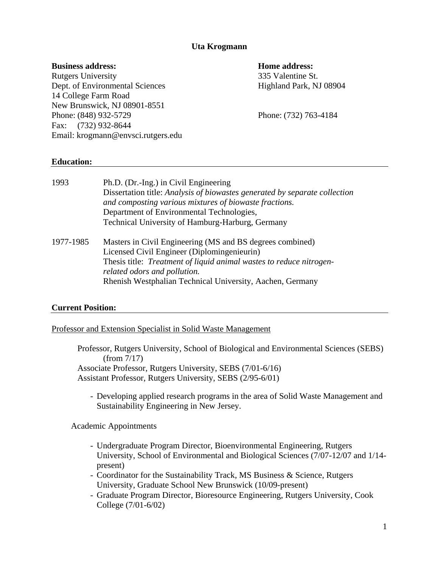## **Uta Krogmann**

## **Business address: Home address:**

Rutgers University 335 Valentine St. Dept. of Environmental Sciences Highland Park, NJ 08904 14 College Farm Road New Brunswick, NJ 08901-8551 Phone: (848) 932-5729 Phone: (732) 763-4184 Fax: (732) 932-8644 Email: krogmann@envsci.rutgers.edu

## **Education:**

| 1993      | Ph.D. (Dr.-Ing.) in Civil Engineering<br>Dissertation title: Analysis of biowastes generated by separate collection<br>and composting various mixtures of biowaste fractions.<br>Department of Environmental Technologies,<br>Technical University of Hamburg-Harburg, Germany |
|-----------|--------------------------------------------------------------------------------------------------------------------------------------------------------------------------------------------------------------------------------------------------------------------------------|
| 1977-1985 | Masters in Civil Engineering (MS and BS degrees combined)<br>Licensed Civil Engineer (Diplomingenieurin)<br>Thesis title: Treatment of liquid animal wastes to reduce nitrogen-<br>related odors and pollution.<br>Rhenish Westphalian Technical University, Aachen, Germany   |

## **Current Position:**

#### Professor and Extension Specialist in Solid Waste Management

Professor, Rutgers University, School of Biological and Environmental Sciences (SEBS) (from 7/17) Associate Professor, Rutgers University, SEBS (7/01-6/16) Assistant Professor, Rutgers University, SEBS (2/95-6/01)

- Developing applied research programs in the area of Solid Waste Management and Sustainability Engineering in New Jersey.

Academic Appointments

- Undergraduate Program Director, Bioenvironmental Engineering, Rutgers University, School of Environmental and Biological Sciences (7/07-12/07 and 1/14 present)
- Coordinator for the Sustainability Track, MS Business & Science, Rutgers University, Graduate School New Brunswick (10/09-present)
- Graduate Program Director, Bioresource Engineering, Rutgers University, Cook College (7/01-6/02)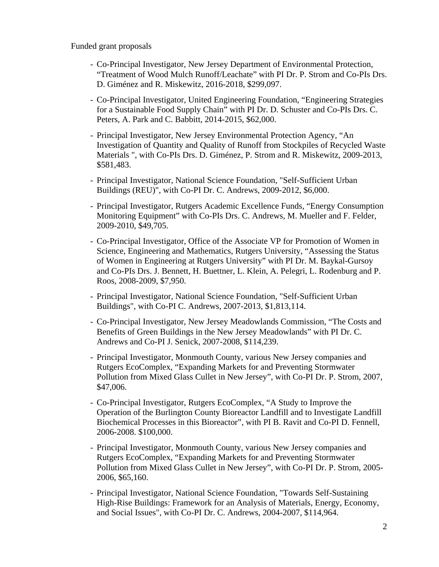Funded grant proposals

- Co-Principal Investigator, New Jersey Department of Environmental Protection, "Treatment of Wood Mulch Runoff/Leachate" with PI Dr. P. Strom and Co-PIs Drs. D. Giménez and R. Miskewitz, 2016-2018, \$299,097.
- Co-Principal Investigator, United Engineering Foundation, "Engineering Strategies for a Sustainable Food Supply Chain" with PI Dr. D. Schuster and Co-PIs Drs. C. Peters, A. Park and C. Babbitt, 2014-2015, \$62,000.
- Principal Investigator, New Jersey Environmental Protection Agency, "An Investigation of Quantity and Quality of Runoff from Stockpiles of Recycled Waste Materials ", with Co-PIs Drs. D. Giménez, P. Strom and R. Miskewitz, 2009-2013, \$581,483.
- Principal Investigator, National Science Foundation, "Self-Sufficient Urban Buildings (REU)", with Co-PI Dr. C. Andrews, 2009-2012, \$6,000.
- Principal Investigator, Rutgers Academic Excellence Funds, "Energy Consumption Monitoring Equipment" with Co-PIs Drs. C. Andrews, M. Mueller and F. Felder, 2009-2010, \$49,705.
- Co-Principal Investigator, Office of the Associate VP for Promotion of Women in Science, Engineering and Mathematics, Rutgers University, "Assessing the Status of Women in Engineering at Rutgers University" with PI Dr. M. Baykal-Gursoy and Co-PIs Drs. J. Bennett, H. Buettner, L. Klein, A. Pelegri, L. Rodenburg and P. Roos, 2008-2009, \$7,950.
- Principal Investigator, National Science Foundation, "Self-Sufficient Urban Buildings", with Co-PI C. Andrews, 2007-2013, \$1,813,114.
- Co-Principal Investigator, New Jersey Meadowlands Commission, "The Costs and Benefits of Green Buildings in the New Jersey Meadowlands" with PI Dr. C. Andrews and Co-PI J. Senick, 2007-2008, \$114,239.
- Principal Investigator, Monmouth County, various New Jersey companies and Rutgers EcoComplex, "Expanding Markets for and Preventing Stormwater Pollution from Mixed Glass Cullet in New Jersey", with Co-PI Dr. P. Strom, 2007, \$47,006.
- Co-Principal Investigator, Rutgers EcoComplex, "A Study to Improve the Operation of the Burlington County Bioreactor Landfill and to Investigate Landfill Biochemical Processes in this Bioreactor", with PI B. Ravit and Co-PI D. Fennell, 2006-2008. \$100,000.
- Principal Investigator, Monmouth County, various New Jersey companies and Rutgers EcoComplex, "Expanding Markets for and Preventing Stormwater Pollution from Mixed Glass Cullet in New Jersey", with Co-PI Dr. P. Strom, 2005- 2006, \$65,160.
- Principal Investigator, National Science Foundation, "Towards Self-Sustaining High-Rise Buildings: Framework for an Analysis of Materials, Energy, Economy, and Social Issues", with Co-PI Dr. C. Andrews, 2004-2007, \$114,964.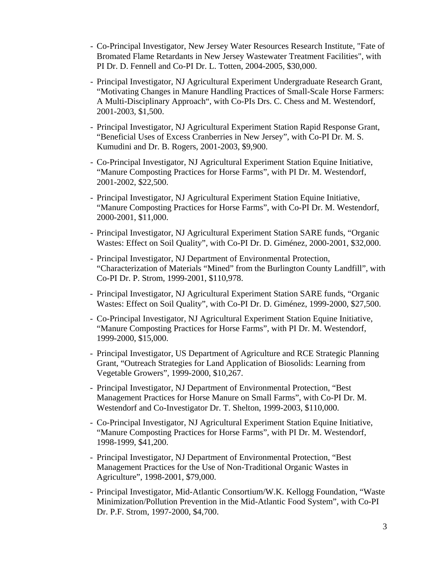- Co-Principal Investigator, New Jersey Water Resources Research Institute, "Fate of Bromated Flame Retardants in New Jersey Wastewater Treatment Facilities", with PI Dr. D. Fennell and Co-PI Dr. L. Totten, 2004-2005, \$30,000.
- Principal Investigator, NJ Agricultural Experiment Undergraduate Research Grant, "Motivating Changes in Manure Handling Practices of Small-Scale Horse Farmers: A Multi-Disciplinary Approach", with Co-PIs Drs. C. Chess and M. Westendorf, 2001-2003, \$1,500.
- Principal Investigator, NJ Agricultural Experiment Station Rapid Response Grant, "Beneficial Uses of Excess Cranberries in New Jersey", with Co-PI Dr. M. S. Kumudini and Dr. B. Rogers, 2001-2003, \$9,900.
- Co-Principal Investigator, NJ Agricultural Experiment Station Equine Initiative, "Manure Composting Practices for Horse Farms", with PI Dr. M. Westendorf, 2001-2002, \$22,500.
- Principal Investigator, NJ Agricultural Experiment Station Equine Initiative, "Manure Composting Practices for Horse Farms", with Co-PI Dr. M. Westendorf, 2000-2001, \$11,000.
- Principal Investigator, NJ Agricultural Experiment Station SARE funds, "Organic Wastes: Effect on Soil Quality", with Co-PI Dr. D. Giménez, 2000-2001, \$32,000.
- Principal Investigator, NJ Department of Environmental Protection, "Characterization of Materials "Mined" from the Burlington County Landfill", with Co-PI Dr. P. Strom, 1999-2001, \$110,978.
- Principal Investigator, NJ Agricultural Experiment Station SARE funds, "Organic Wastes: Effect on Soil Quality", with Co-PI Dr. D. Giménez, 1999-2000, \$27,500.
- Co-Principal Investigator, NJ Agricultural Experiment Station Equine Initiative, "Manure Composting Practices for Horse Farms", with PI Dr. M. Westendorf, 1999-2000, \$15,000.
- Principal Investigator, US Department of Agriculture and RCE Strategic Planning Grant, "Outreach Strategies for Land Application of Biosolids: Learning from Vegetable Growers", 1999-2000, \$10,267.
- Principal Investigator, NJ Department of Environmental Protection, "Best Management Practices for Horse Manure on Small Farms", with Co-PI Dr. M. Westendorf and Co-Investigator Dr. T. Shelton, 1999-2003, \$110,000.
- Co-Principal Investigator, NJ Agricultural Experiment Station Equine Initiative, "Manure Composting Practices for Horse Farms", with PI Dr. M. Westendorf, 1998-1999, \$41,200.
- Principal Investigator, NJ Department of Environmental Protection, "Best Management Practices for the Use of Non-Traditional Organic Wastes in Agriculture", 1998-2001, \$79,000.
- Principal Investigator, Mid-Atlantic Consortium/W.K. Kellogg Foundation, "Waste Minimization/Pollution Prevention in the Mid-Atlantic Food System", with Co-PI Dr. P.F. Strom, 1997-2000, \$4,700.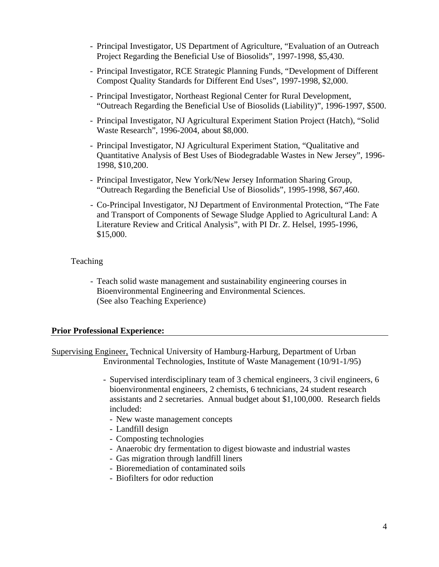- Principal Investigator, US Department of Agriculture, "Evaluation of an Outreach Project Regarding the Beneficial Use of Biosolids", 1997-1998, \$5,430.
- Principal Investigator, RCE Strategic Planning Funds, "Development of Different Compost Quality Standards for Different End Uses", 1997-1998, \$2,000.
- Principal Investigator, Northeast Regional Center for Rural Development, "Outreach Regarding the Beneficial Use of Biosolids (Liability)", 1996-1997, \$500.
- Principal Investigator, NJ Agricultural Experiment Station Project (Hatch), "Solid Waste Research", 1996-2004, about \$8,000.
- Principal Investigator, NJ Agricultural Experiment Station, "Qualitative and Quantitative Analysis of Best Uses of Biodegradable Wastes in New Jersey", 1996- 1998, \$10,200.
- Principal Investigator, New York/New Jersey Information Sharing Group, "Outreach Regarding the Beneficial Use of Biosolids", 1995-1998, \$67,460.
- Co-Principal Investigator, NJ Department of Environmental Protection, "The Fate and Transport of Components of Sewage Sludge Applied to Agricultural Land: A Literature Review and Critical Analysis", with PI Dr. Z. Helsel, 1995-1996, \$15,000.

## Teaching

- Teach solid waste management and sustainability engineering courses in Bioenvironmental Engineering and Environmental Sciences. (See also Teaching Experience)

#### **Prior Professional Experience:**

Supervising Engineer, Technical University of Hamburg-Harburg, Department of Urban Environmental Technologies, Institute of Waste Management (10/91-1/95)

- Supervised interdisciplinary team of 3 chemical engineers, 3 civil engineers, 6 bioenvironmental engineers, 2 chemists, 6 technicians, 24 student research assistants and 2 secretaries. Annual budget about \$1,100,000. Research fields included:
	- New waste management concepts
	- Landfill design
	- Composting technologies
	- Anaerobic dry fermentation to digest biowaste and industrial wastes
	- Gas migration through landfill liners
	- Bioremediation of contaminated soils
	- Biofilters for odor reduction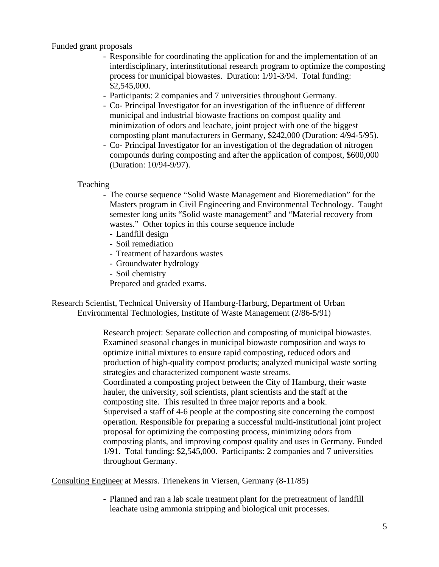Funded grant proposals

- Responsible for coordinating the application for and the implementation of an interdisciplinary, interinstitutional research program to optimize the composting process for municipal biowastes. Duration: 1/91-3/94. Total funding: \$2,545,000.
- Participants: 2 companies and 7 universities throughout Germany.
- Co- Principal Investigator for an investigation of the influence of different municipal and industrial biowaste fractions on compost quality and minimization of odors and leachate, joint project with one of the biggest composting plant manufacturers in Germany, \$242,000 (Duration: 4/94-5/95).
- Co- Principal Investigator for an investigation of the degradation of nitrogen compounds during composting and after the application of compost, \$600,000 (Duration: 10/94-9/97).

Teaching

- The course sequence "Solid Waste Management and Bioremediation" for the Masters program in Civil Engineering and Environmental Technology. Taught semester long units "Solid waste management" and "Material recovery from wastes." Other topics in this course sequence include
	- Landfill design
	- Soil remediation
	- Treatment of hazardous wastes
	- Groundwater hydrology
	- Soil chemistry
	- Prepared and graded exams.

Research Scientist, Technical University of Hamburg-Harburg, Department of Urban Environmental Technologies, Institute of Waste Management (2/86-5/91)

> Research project: Separate collection and composting of municipal biowastes. Examined seasonal changes in municipal biowaste composition and ways to optimize initial mixtures to ensure rapid composting, reduced odors and production of high-quality compost products; analyzed municipal waste sorting strategies and characterized component waste streams. Coordinated a composting project between the City of Hamburg, their waste hauler, the university, soil scientists, plant scientists and the staff at the composting site. This resulted in three major reports and a book. Supervised a staff of 4-6 people at the composting site concerning the compost operation. Responsible for preparing a successful multi-institutional joint project proposal for optimizing the composting process, minimizing odors from composting plants, and improving compost quality and uses in Germany. Funded 1/91. Total funding: \$2,545,000. Participants: 2 companies and 7 universities throughout Germany.

Consulting Engineer at Messrs. Trienekens in Viersen, Germany (8-11/85)

- Planned and ran a lab scale treatment plant for the pretreatment of landfill leachate using ammonia stripping and biological unit processes.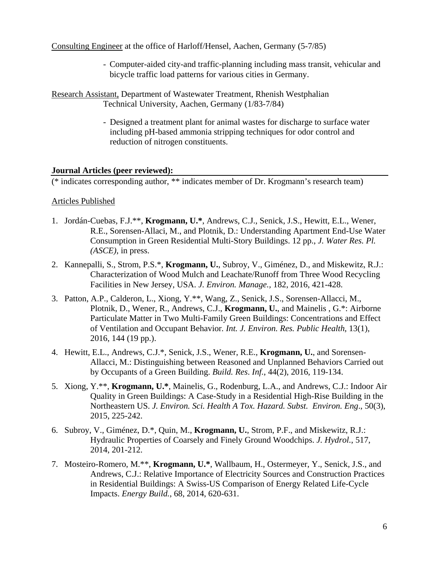Consulting Engineer at the office of Harloff/Hensel, Aachen, Germany (5-7/85)

- Computer-aided city-and traffic-planning including mass transit, vehicular and bicycle traffic load patterns for various cities in Germany.

Research Assistant, Department of Wastewater Treatment, Rhenish Westphalian Technical University, Aachen, Germany (1/83-7/84)

> - Designed a treatment plant for animal wastes for discharge to surface water including pH-based ammonia stripping techniques for odor control and reduction of nitrogen constituents.

## **Journal Articles (peer reviewed):**

(\* indicates corresponding author, \*\* indicates member of Dr. Krogmann's research team)

## Articles Published

- 1. Jordán-Cuebas, F.J.\*\*, **Krogmann, U.\***, Andrews, C.J., Senick, J.S., Hewitt, E.L., Wener, R.E., Sorensen-Allaci, M., and Plotnik, D.: Understanding Apartment End-Use Water Consumption in Green Residential Multi-Story Buildings. 12 pp., *J. Water Res. Pl. (ASCE)*, in press.
- 2. Kannepalli, S., Strom, P.S.\*, **Krogmann, U.**, Subroy, V., Giménez, D., and Miskewitz, R.J.: Characterization of Wood Mulch and Leachate/Runoff from Three Wood Recycling Facilities in New Jersey, USA. *J. Environ. Manage.,* 182, 2016, 421-428.
- 3. Patton, A.P., Calderon, L., Xiong, Y.\*\*, Wang, Z., Senick, J.S., Sorensen-Allacci, M., Plotnik, D., Wener, R., Andrews, C.J., **Krogmann, U.**, and Mainelis , G.\*: Airborne Particulate Matter in Two Multi-Family Green Buildings: Concentrations and Effect of Ventilation and Occupant Behavior*. Int. J. Environ. Res. Public Health*, 13(1), 2016, 144 (19 pp.).
- 4. Hewitt, E.L., Andrews, C.J.\*, Senick, J.S., Wener, R.E., **Krogmann, U.**, and Sorensen-Allacci, M.: Distinguishing between Reasoned and Unplanned Behaviors Carried out by Occupants of a Green Building. *Build. Res*. *Inf.*, 44(2), 2016, 119-134.
- 5. Xiong, Y.\*\*, **Krogmann, U.\***, Mainelis, G., Rodenburg, L.A., and Andrews, C.J.: Indoor Air Quality in Green Buildings: A Case-Study in a Residential High-Rise Building in the Northeastern US. *J. Environ. Sci. Health A Tox. Hazard. Subst. Environ. Eng*., 50(3), 2015, 225-242.
- 6. Subroy, V., Giménez, D.\*, Quin, M., **Krogmann, U.**, Strom, P.F., and Miskewitz, R.J.: Hydraulic Properties of Coarsely and Finely Ground Woodchips. *J. Hydrol.*, 517, 2014, 201-212.
- 7. Mosteiro-Romero, M.\*\*, **Krogmann, U.\***, Wallbaum, H., Ostermeyer, Y., Senick, J.S., and Andrews, C.J.: Relative Importance of Electricity Sources and Construction Practices in Residential Buildings: A Swiss-US Comparison of Energy Related Life-Cycle Impacts. *Energy Build.*, 68, 2014, 620-631.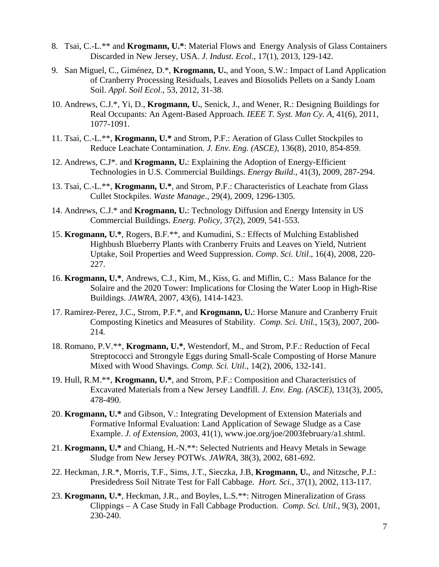- 8. Tsai, C.-L.\*\* and **Krogmann, U.\***: Material Flows and Energy Analysis of Glass Containers Discarded in New Jersey, USA. *J. Indust. Ecol*., 17(1), 2013, 129-142.
- 9. San Miguel, C., Giménez, D.\*, **Krogmann, U.**, and Yoon, S.W.: Impact of Land Application of Cranberry Processing Residuals, Leaves and Biosolids Pellets on a Sandy Loam Soil. *Appl. Soil Ecol*., 53, 2012, 31-38.
- 10. Andrews, C.J.\*, Yi, D., **Krogmann, U.**, Senick, J., and Wener, R.: Designing Buildings for Real Occupants: An Agent-Based Approach. *IEEE T. Syst. Man Cy. A*, 41(6), 2011, 1077-1091.
- 11. Tsai, C.-L.\*\*, **Krogmann, U.\*** and Strom, P.F.: Aeration of Glass Cullet Stockpiles to Reduce Leachate Contamination. *J. Env. Eng. (ASCE)*, 136(8), 2010, 854-859.
- 12. Andrews, C.J\*. and **Krogmann, U.**: Explaining the Adoption of Energy-Efficient Technologies in U.S. Commercial Buildings. *Energy Build.*, 41(3), 2009, 287-294.
- 13. Tsai, C.-L.\*\*, **Krogmann, U.\***, and Strom, P.F.: Characteristics of Leachate from Glass Cullet Stockpiles. *Waste Manage*., 29(4), 2009, 1296-1305.
- 14. Andrews, C.J.\* and **Krogmann, U.**: Technology Diffusion and Energy Intensity in US Commercial Buildings. *Energ. Policy*, 37(2), 2009, 541-553.
- 15. **Krogmann, U.\***, Rogers, B.F.\*\*, and Kumudini, S.: Effects of Mulching Established Highbush Blueberry Plants with Cranberry Fruits and Leaves on Yield, Nutrient Uptake, Soil Properties and Weed Suppression. *Comp. Sci. Util*., 16(4), 2008, 220- 227.
- 16. **Krogmann, U.\***, Andrews, C.J., Kim, M., Kiss, G. and Miflin, C.: Mass Balance for the Solaire and the 2020 Tower: Implications for Closing the Water Loop in High-Rise Buildings. *JAWRA*, 2007, 43(6), 1414-1423.
- 17. Ramirez-Perez, J.C., Strom, P.F.\*, and **Krogmann, U.**: Horse Manure and Cranberry Fruit Composting Kinetics and Measures of Stability. *Comp. Sci. Util.*, 15(3), 2007, 200- 214*.*
- 18. Romano, P.V.\*\*, **Krogmann, U.\***, Westendorf, M., and Strom, P.F.: Reduction of Fecal Streptococci and Strongyle Eggs during Small-Scale Composting of Horse Manure Mixed with Wood Shavings. *Comp. Sci. Util.,* 14(2), 2006, 132-141.
- 19. Hull, R.M.\*\*, **Krogmann, U.\***, and Strom, P.F.: Composition and Characteristics of Excavated Materials from a New Jersey Landfill. *J. Env. Eng. (ASCE)*, 131(3), 2005, 478-490.
- 20. **Krogmann, U.\*** and Gibson, V.: Integrating Development of Extension Materials and Formative Informal Evaluation: Land Application of Sewage Sludge as a Case Example. *J. of Extension*, 2003, 41(1), www.joe.org/joe/2003february/a1.shtml.
- 21. **Krogmann, U.\*** and Chiang, H.-N.\*\*: Selected Nutrients and Heavy Metals in Sewage Sludge from New Jersey POTWs. *JAWRA*, 38(3), 2002, 681-692.
- 22. Heckman, J.R.\*, Morris, T.F., Sims, J.T., Sieczka, J.B, **Krogmann, U.**, and Nitzsche, P.J.: Presidedress Soil Nitrate Test for Fall Cabbage. *Hort. Sci.*, 37(1), 2002, 113-117.
- 23. **Krogmann, U.\***, Heckman, J.R., and Boyles, L.S.\*\*: Nitrogen Mineralization of Grass Clippings – A Case Study in Fall Cabbage Production. *Comp. Sci. Util.*, 9(3), 2001, 230-240.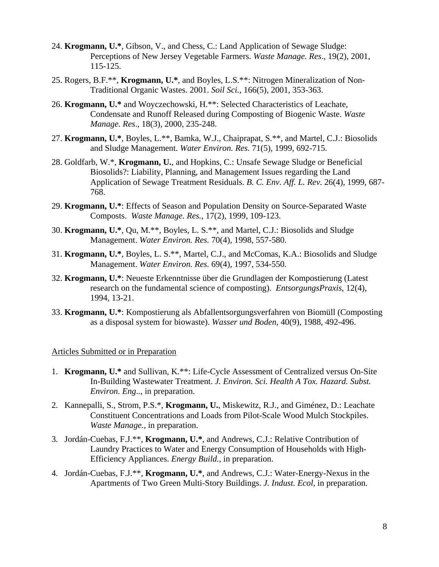- 24. **Krogmann, U.\***, Gibson, V., and Chess, C.: Land Application of Sewage Sludge: Perceptions of New Jersey Vegetable Farmers. *Waste Manage. Res*., 19(2), 2001, 115-125.
- 25. Rogers, B.F.\*\*, **Krogmann, U.\***, and Boyles, L.S.\*\*: Nitrogen Mineralization of Non-Traditional Organic Wastes. 2001. *Soil Sci.,* 166(5), 2001, 353-363.
- 26. **Krogmann, U.\*** and Woyczechowski, H.\*\*: Selected Characteristics of Leachate, Condensate and Runoff Released during Composting of Biogenic Waste. *Waste Manage. Res*., 18(3), 2000, 235-248.
- 27. **Krogmann, U.\***, Boyles, L.\*\*, Bamka, W.J., Chaiprapat, S.\*\*, and Martel, C.J.: Biosolids and Sludge Management. *Water Environ. Res.* 71(5), 1999, 692-715.
- 28. Goldfarb, W.\*, **Krogmann, U.**, and Hopkins, C.: Unsafe Sewage Sludge or Beneficial Biosolids?: Liability, Planning, and Management Issues regarding the Land Application of Sewage Treatment Residuals. *B. C. Env. Aff. L. Rev.* 26(4), 1999, 687- 768.
- 29. **Krogmann, U.\***: Effects of Season and Population Density on Source-Separated Waste Composts. *Waste Manage. Res.*, 17(2), 1999, 109-123.
- 30. **Krogmann, U.\***, Qu, M.\*\*, Boyles, L. S.\*\*, and Martel, C.J.: Biosolids and Sludge Management. *Water Environ. Res.* 70(4), 1998, 557-580.
- 31. **Krogmann, U.\***, Boyles, L. S.\*\*, Martel, C.J., and McComas, K.A.: Biosolids and Sludge Management. *Water Environ. Res.* 69(4), 1997, 534-550.
- 32. **Krogmann, U.\***: Neueste Erkenntnisse über die Grundlagen der Kompostierung (Latest research on the fundamental science of composting). *EntsorgungsPraxis*, 12(4), 1994, 13-21.
- 33. **Krogmann, U.\***: Kompostierung als Abfallentsorgungsverfahren von Biomüll (Composting as a disposal system for biowaste). *Wasser und Boden*, 40(9), 1988, 492-496.

#### Articles Submitted or in Preparation

- 1. **Krogmann, U.\*** and Sullivan, K.\*\*: Life-Cycle Assessment of Centralized versus On-Site In-Building Wastewater Treatment. *J. Environ. Sci. Health A Tox. Hazard. Subst. Environ. Eng*.., in preparation.
- 2. Kannepalli, S., Strom, P.S.\*, **Krogmann, U.**, Miskewitz, R.J., and Giménez, D.: Leachate Constituent Concentrations and Loads from Pilot-Scale Wood Mulch Stockpiles. *Waste Manage.,* in preparation.
- 3. Jordán-Cuebas, F.J.\*\*, **Krogmann, U.\***, and Andrews, C.J.: Relative Contribution of Laundry Practices to Water and Energy Consumption of Households with High-Efficiency Appliances. *Energy Build.,* in preparation.
- 4. Jordán-Cuebas, F.J.\*\*, **Krogmann, U.\***, and Andrews, C.J.: Water-Energy-Nexus in the Apartments of Two Green Multi-Story Buildings. *J. Indust. Ecol,* in preparation.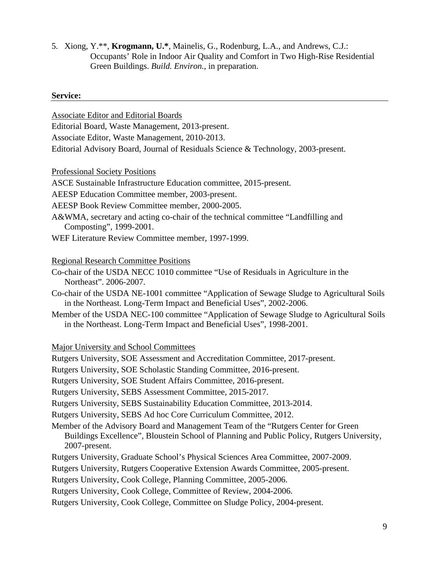5. Xiong, Y.\*\*, **Krogmann, U.\***, Mainelis, G., Rodenburg, L.A., and Andrews, C.J.: Occupants' Role in Indoor Air Quality and Comfort in Two High-Rise Residential Green Buildings. *Build. Environ.*, in preparation.

#### **Service:**

Associate Editor and Editorial Boards

Editorial Board, Waste Management, 2013-present.

Associate Editor, Waste Management, 2010-2013.

Editorial Advisory Board, Journal of Residuals Science & Technology, 2003-present.

Professional Society Positions

ASCE Sustainable Infrastructure Education committee, 2015-present.

AEESP Education Committee member, 2003-present.

AEESP Book Review Committee member, 2000-2005.

A&WMA, secretary and acting co-chair of the technical committee "Landfilling and Composting", 1999-2001.

WEF Literature Review Committee member, 1997-1999.

## Regional Research Committee Positions

Co-chair of the USDA NECC 1010 committee "Use of Residuals in Agriculture in the Northeast". 2006-2007.

Co-chair of the USDA NE-1001 committee "Application of Sewage Sludge to Agricultural Soils in the Northeast. Long-Term Impact and Beneficial Uses", 2002-2006.

Member of the USDA NEC-100 committee "Application of Sewage Sludge to Agricultural Soils in the Northeast. Long-Term Impact and Beneficial Uses", 1998-2001.

Major University and School Committees

Rutgers University, SOE Assessment and Accreditation Committee, 2017-present.

Rutgers University, SOE Scholastic Standing Committee, 2016-present.

Rutgers University, SOE Student Affairs Committee, 2016-present.

Rutgers University, SEBS Assessment Committee, 2015-2017.

Rutgers University, SEBS Sustainability Education Committee, 2013-2014.

Rutgers University, SEBS Ad hoc Core Curriculum Committee, 2012.

Member of the Advisory Board and Management Team of the "Rutgers Center for Green Buildings Excellence", Bloustein School of Planning and Public Policy, Rutgers University, 2007-present.

Rutgers University, Graduate School's Physical Sciences Area Committee, 2007-2009.

Rutgers University, Rutgers Cooperative Extension Awards Committee, 2005-present.

Rutgers University, Cook College, Planning Committee, 2005-2006.

Rutgers University, Cook College, Committee of Review, 2004-2006.

Rutgers University, Cook College, Committee on Sludge Policy, 2004-present.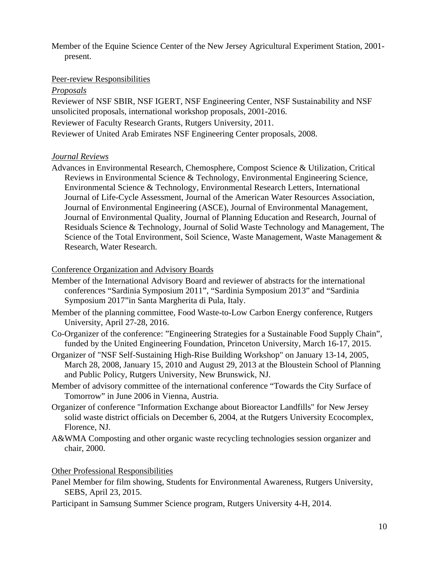Member of the Equine Science Center of the New Jersey Agricultural Experiment Station, 2001 present.

## Peer-review Responsibilities

#### *Proposals*

Reviewer of NSF SBIR, NSF IGERT, NSF Engineering Center, NSF Sustainability and NSF unsolicited proposals, international workshop proposals, 2001-2016. Reviewer of Faculty Research Grants, Rutgers University, 2011. Reviewer of United Arab Emirates NSF Engineering Center proposals, 2008.

#### *Journal Reviews*

Advances in Environmental Research, Chemosphere, Compost Science & Utilization, Critical Reviews in Environmental Science & Technology, Environmental Engineering Science, Environmental Science & Technology, Environmental Research Letters, International Journal of Life-Cycle Assessment, Journal of the American Water Resources Association, Journal of Environmental Engineering (ASCE), Journal of Environmental Management, Journal of Environmental Quality, Journal of Planning Education and Research, Journal of Residuals Science & Technology, Journal of Solid Waste Technology and Management, The Science of the Total Environment, Soil Science, Waste Management, Waste Management & Research, Water Research.

## Conference Organization and Advisory Boards

- Member of the International Advisory Board and reviewer of abstracts for the international conferences "Sardinia Symposium 2011", "Sardinia Symposium 2013" and "Sardinia Symposium 2017"in Santa Margherita di Pula, Italy.
- Member of the planning committee, Food Waste-to-Low Carbon Energy conference, Rutgers University, April 27-28, 2016.
- Co-Organizer of the conference: "Engineering Strategies for a Sustainable Food Supply Chain", funded by the United Engineering Foundation, Princeton University, March 16-17, 2015.
- Organizer of "NSF Self-Sustaining High-Rise Building Workshop" on January 13-14, 2005, March 28, 2008, January 15, 2010 and August 29, 2013 at the Bloustein School of Planning and Public Policy, Rutgers University, New Brunswick, NJ.
- Member of advisory committee of the international conference "Towards the City Surface of Tomorrow" in June 2006 in Vienna, Austria.
- Organizer of conference "Information Exchange about Bioreactor Landfills" for New Jersey solid waste district officials on December 6, 2004, at the Rutgers University Ecocomplex, Florence, NJ.
- A&WMA Composting and other organic waste recycling technologies session organizer and chair, 2000.

#### Other Professional Responsibilities

- Panel Member for film showing, Students for Environmental Awareness, Rutgers University, SEBS, April 23, 2015.
- Participant in Samsung Summer Science program, Rutgers University 4-H, 2014.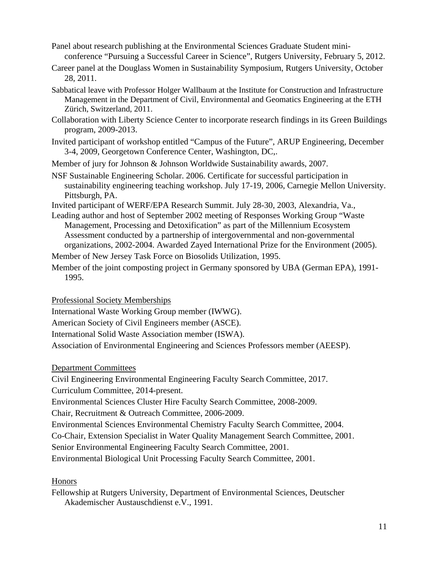Panel about research publishing at the Environmental Sciences Graduate Student miniconference "Pursuing a Successful Career in Science", Rutgers University, February 5, 2012.

Career panel at the Douglass Women in Sustainability Symposium, Rutgers University, October 28, 2011.

- Sabbatical leave with Professor Holger Wallbaum at the Institute for Construction and Infrastructure Management in the Department of Civil, Environmental and Geomatics Engineering at the ETH Zürich, Switzerland, 2011.
- Collaboration with Liberty Science Center to incorporate research findings in its Green Buildings program, 2009-2013.
- Invited participant of workshop entitled "Campus of the Future", ARUP Engineering, December 3-4, 2009, Georgetown Conference Center, Washington, DC,.

Member of jury for Johnson & Johnson Worldwide Sustainability awards, 2007.

NSF Sustainable Engineering Scholar. 2006. Certificate for successful participation in sustainability engineering teaching workshop. July 17-19, 2006, Carnegie Mellon University. Pittsburgh, PA.

Invited participant of WERF/EPA Research Summit. July 28-30, 2003, Alexandria, Va.,

Leading author and host of September 2002 meeting of Responses Working Group "Waste Management, Processing and Detoxification" as part of the Millennium Ecosystem Assessment conducted by a partnership of intergovernmental and non-governmental organizations, 2002-2004. Awarded Zayed International Prize for the Environment (2005).

Member of New Jersey Task Force on Biosolids Utilization, 1995.

Member of the joint composting project in Germany sponsored by UBA (German EPA), 1991- 1995.

Professional Society Memberships

International Waste Working Group member (IWWG).

American Society of Civil Engineers member (ASCE).

International Solid Waste Association member (ISWA).

Association of Environmental Engineering and Sciences Professors member (AEESP).

Department Committees

Civil Engineering Environmental Engineering Faculty Search Committee, 2017.

Curriculum Committee, 2014-present.

Environmental Sciences Cluster Hire Faculty Search Committee, 2008-2009.

Chair, Recruitment & Outreach Committee, 2006-2009.

Environmental Sciences Environmental Chemistry Faculty Search Committee, 2004.

Co-Chair, Extension Specialist in Water Quality Management Search Committee, 2001.

Senior Environmental Engineering Faculty Search Committee, 2001.

Environmental Biological Unit Processing Faculty Search Committee, 2001.

Honors

Fellowship at Rutgers University, Department of Environmental Sciences, Deutscher Akademischer Austauschdienst e.V., 1991.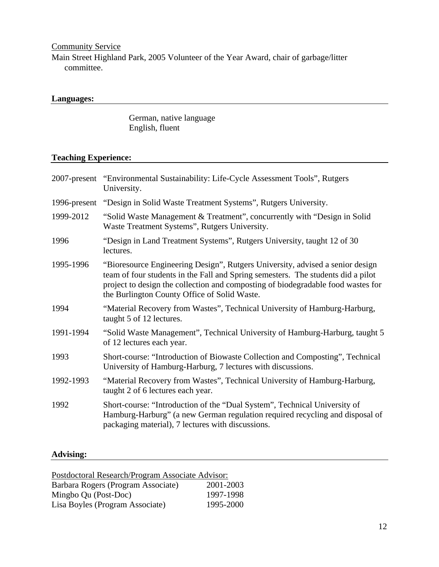**Community Service** 

Main Street Highland Park, 2005 Volunteer of the Year Award, chair of garbage/litter committee.

## **Languages:**

 German, native language English, fluent

## **Teaching Experience:**

|           | 2007-present "Environmental Sustainability: Life-Cycle Assessment Tools", Rutgers<br>University.                                                                                                                                                                                                      |  |  |
|-----------|-------------------------------------------------------------------------------------------------------------------------------------------------------------------------------------------------------------------------------------------------------------------------------------------------------|--|--|
|           | 1996-present "Design in Solid Waste Treatment Systems", Rutgers University.                                                                                                                                                                                                                           |  |  |
| 1999-2012 | "Solid Waste Management & Treatment", concurrently with "Design in Solid"<br>Waste Treatment Systems", Rutgers University.                                                                                                                                                                            |  |  |
| 1996      | "Design in Land Treatment Systems", Rutgers University, taught 12 of 30<br>lectures.                                                                                                                                                                                                                  |  |  |
| 1995-1996 | "Bioresource Engineering Design", Rutgers University, advised a senior design<br>team of four students in the Fall and Spring semesters. The students did a pilot<br>project to design the collection and composting of biodegradable food wastes for<br>the Burlington County Office of Solid Waste. |  |  |
| 1994      | "Material Recovery from Wastes", Technical University of Hamburg-Harburg,<br>taught 5 of 12 lectures.                                                                                                                                                                                                 |  |  |
| 1991-1994 | "Solid Waste Management", Technical University of Hamburg-Harburg, taught 5<br>of 12 lectures each year.                                                                                                                                                                                              |  |  |
| 1993      | Short-course: "Introduction of Biowaste Collection and Composting", Technical<br>University of Hamburg-Harburg, 7 lectures with discussions.                                                                                                                                                          |  |  |
| 1992-1993 | "Material Recovery from Wastes", Technical University of Hamburg-Harburg,<br>taught 2 of 6 lectures each year.                                                                                                                                                                                        |  |  |
| 1992      | Short-course: "Introduction of the "Dual System", Technical University of<br>Hamburg-Harburg" (a new German regulation required recycling and disposal of<br>packaging material), 7 lectures with discussions.                                                                                        |  |  |

# **Advising:**

| Postdoctoral Research/Program Associate Advisor: |           |  |  |
|--------------------------------------------------|-----------|--|--|
| Barbara Rogers (Program Associate)               | 2001-2003 |  |  |
| Mingbo Qu (Post-Doc)                             | 1997-1998 |  |  |
| Lisa Boyles (Program Associate)                  | 1995-2000 |  |  |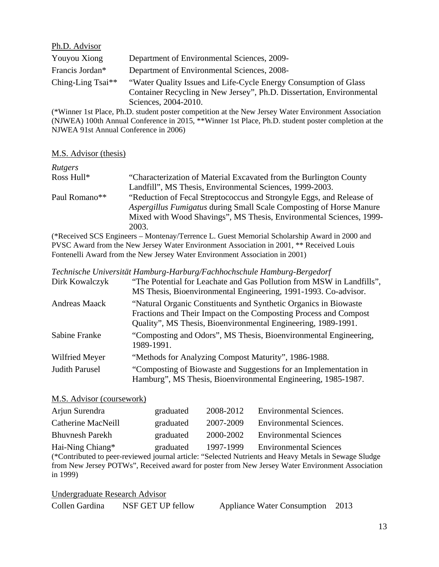| Ph.D. Advisor        |                                                                                                                                                                   |
|----------------------|-------------------------------------------------------------------------------------------------------------------------------------------------------------------|
| Youyou Xiong         | Department of Environmental Sciences, 2009-                                                                                                                       |
| Francis Jordan*      | Department of Environmental Sciences, 2008-                                                                                                                       |
| Ching-Ling Tsai $**$ | "Water Quality Issues and Life-Cycle Energy Consumption of Glass<br>Container Recycling in New Jersey", Ph.D. Dissertation, Environmental<br>Sciences, 2004-2010. |

(\*Winner 1st Place, Ph.D. student poster competition at the New Jersey Water Environment Association (NJWEA) 100th Annual Conference in 2015, \*\*Winner 1st Place, Ph.D. student poster completion at the NJWEA 91st Annual Conference in 2006)

## M.S. Advisor (thesis)

| Rutgers       |                                                                            |
|---------------|----------------------------------------------------------------------------|
| Ross Hull*    | "Characterization of Material Excavated from the Burlington County         |
|               | Landfill", MS Thesis, Environmental Sciences, 1999-2003.                   |
| Paul Romano** | "Reduction of Fecal Streptococcus and Strongyle Eggs, and Release of       |
|               | <i>Aspergillus Fumigatus</i> during Small Scale Composting of Horse Manure |
|               | Mixed with Wood Shavings", MS Thesis, Environmental Sciences, 1999-        |
|               | 2003.                                                                      |

(\*Received SCS Engineers – Montenay/Terrence L. Guest Memorial Scholarship Award in 2000 and PVSC Award from the New Jersey Water Environment Association in 2001, \*\* Received Louis Fontenelli Award from the New Jersey Water Environment Association in 2001)

|  | Technische Universität Hamburg-Harburg/Fachhochschule Hamburg-Bergedorf |
|--|-------------------------------------------------------------------------|
|--|-------------------------------------------------------------------------|

| Dirk Kowalczyk        | "The Potential for Leachate and Gas Pollution from MSW in Landfills",<br>MS Thesis, Bioenvironmental Engineering, 1991-1993. Co-advisor.                                                              |
|-----------------------|-------------------------------------------------------------------------------------------------------------------------------------------------------------------------------------------------------|
| <b>Andreas Maack</b>  | "Natural Organic Constituents and Synthetic Organics in Biowaste<br>Fractions and Their Impact on the Composting Process and Compost<br>Quality", MS Thesis, Bioenvironmental Engineering, 1989-1991. |
| Sabine Franke         | "Composting and Odors", MS Thesis, Bioenvironmental Engineering,<br>1989-1991.                                                                                                                        |
| Wilfried Meyer        | "Methods for Analyzing Compost Maturity", 1986-1988.                                                                                                                                                  |
| <b>Judith Parusel</b> | "Composting of Biowaste and Suggestions for an Implementation in<br>Hamburg", MS Thesis, Bioenvironmental Engineering, 1985-1987.                                                                     |

## M.S. Advisor (coursework)

| Arjun Surendra         | graduated | 2008-2012 | <b>Environmental Sciences.</b> |
|------------------------|-----------|-----------|--------------------------------|
| Catherine MacNeill     | graduated | 2007-2009 | <b>Environmental Sciences.</b> |
| <b>Bhuvnesh Parekh</b> | graduated | 2000-2002 | <b>Environmental Sciences</b>  |
| Hai-Ning Chiang*       | graduated | 1997-1999 | <b>Environmental Sciences</b>  |

(\*Contributed to peer-reviewed journal article: "Selected Nutrients and Heavy Metals in Sewage Sludge from New Jersey POTWs", Received award for poster from New Jersey Water Environment Association in 1999)

Undergraduate Research Advisor Collen Gardina NSF GET UP fellow Appliance Water Consumption 2013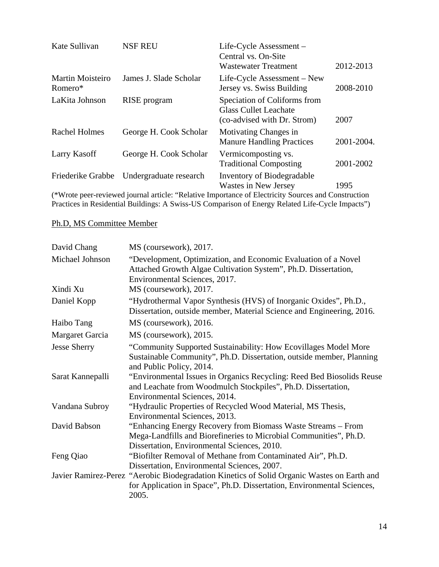| Kate Sullivan                      | <b>NSF REU</b>         | Life-Cycle Assessment -<br>Central vs. On-Site<br><b>Wastewater Treatment</b>               | 2012-2013  |
|------------------------------------|------------------------|---------------------------------------------------------------------------------------------|------------|
| <b>Martin Moisteiro</b><br>Romero* | James J. Slade Scholar | Life-Cycle Assessment – New<br>Jersey vs. Swiss Building                                    | 2008-2010  |
| LaKita Johnson                     | RISE program           | Speciation of Coliforms from<br><b>Glass Cullet Leachate</b><br>(co-advised with Dr. Strom) | 2007       |
| <b>Rachel Holmes</b>               | George H. Cook Scholar | Motivating Changes in<br><b>Manure Handling Practices</b>                                   | 2001-2004. |
| Larry Kasoff                       | George H. Cook Scholar | Vermicomposting vs.<br><b>Traditional Composting</b>                                        | 2001-2002  |
| Friederike Grabbe                  | Undergraduate research | Inventory of Biodegradable<br>Wastes in New Jersey                                          | 1995       |

(\*Wrote peer-reviewed journal article: "Relative Importance of Electricity Sources and Construction Practices in Residential Buildings: A Swiss-US Comparison of Energy Related Life-Cycle Impacts")

# Ph.D, MS Committee Member

| David Chang         | MS (coursework), 2017.                                                                                                                                                           |
|---------------------|----------------------------------------------------------------------------------------------------------------------------------------------------------------------------------|
| Michael Johnson     | "Development, Optimization, and Economic Evaluation of a Novel<br>Attached Growth Algae Cultivation System", Ph.D. Dissertation,<br>Environmental Sciences, 2017.                |
| Xindi Xu            | MS (coursework), 2017.                                                                                                                                                           |
| Daniel Kopp         | "Hydrothermal Vapor Synthesis (HVS) of Inorganic Oxides", Ph.D.,<br>Dissertation, outside member, Material Science and Engineering, 2016.                                        |
| Haibo Tang          | MS (coursework), 2016.                                                                                                                                                           |
| Margaret Garcia     | MS (coursework), 2015.                                                                                                                                                           |
| <b>Jesse Sherry</b> | "Community Supported Sustainability: How Ecovillages Model More<br>Sustainable Community", Ph.D. Dissertation, outside member, Planning<br>and Public Policy, 2014.              |
| Sarat Kannepalli    | "Environmental Issues in Organics Recycling: Reed Bed Biosolids Reuse<br>and Leachate from Woodmulch Stockpiles", Ph.D. Dissertation,<br>Environmental Sciences, 2014.           |
| Vandana Subroy      | "Hydraulic Properties of Recycled Wood Material, MS Thesis,<br>Environmental Sciences, 2013.                                                                                     |
| David Babson        | "Enhancing Energy Recovery from Biomass Waste Streams – From<br>Mega-Landfills and Biorefineries to Microbial Communities", Ph.D.<br>Dissertation, Environmental Sciences, 2010. |
| Feng Qiao           | "Biofilter Removal of Methane from Contaminated Air", Ph.D.<br>Dissertation, Environmental Sciences, 2007.                                                                       |
|                     | Javier Ramirez-Perez "Aerobic Biodegradation Kinetics of Solid Organic Wastes on Earth and<br>for Application in Space", Ph.D. Dissertation, Environmental Sciences,<br>2005.    |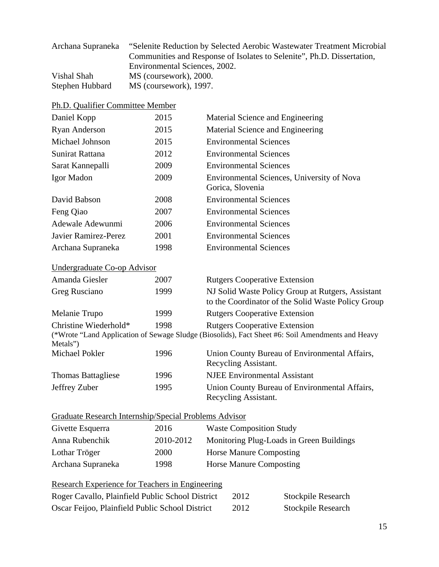| "Selenite Reduction by Selected Aerobic Wastewater Treatment Microbial |
|------------------------------------------------------------------------|
| Communities and Response of Isolates to Selenite", Ph.D. Dissertation, |
| Environmental Sciences, 2002.                                          |
| MS (coursework), 2000.                                                 |
| MS (coursework), 1997.                                                 |
|                                                                        |

| Ph.D. Qualifier Committee Member |  |  |  |  |
|----------------------------------|--|--|--|--|
|----------------------------------|--|--|--|--|

| Daniel Kopp                                                  | 2015      | Material Science and Engineering                                                                                                         |
|--------------------------------------------------------------|-----------|------------------------------------------------------------------------------------------------------------------------------------------|
| <b>Ryan Anderson</b>                                         | 2015      | Material Science and Engineering                                                                                                         |
| Michael Johnson                                              | 2015      | <b>Environmental Sciences</b>                                                                                                            |
| Sunirat Rattana                                              | 2012      | <b>Environmental Sciences</b>                                                                                                            |
| Sarat Kannepalli                                             | 2009      | <b>Environmental Sciences</b>                                                                                                            |
| Igor Madon                                                   | 2009      | Environmental Sciences, University of Nova<br>Gorica, Slovenia                                                                           |
| David Babson                                                 | 2008      | <b>Environmental Sciences</b>                                                                                                            |
| Feng Qiao                                                    | 2007      | <b>Environmental Sciences</b>                                                                                                            |
| Adewale Adewunmi                                             | 2006      | <b>Environmental Sciences</b>                                                                                                            |
| <b>Javier Ramirez-Perez</b>                                  | 2001      | <b>Environmental Sciences</b>                                                                                                            |
| Archana Supraneka                                            | 1998      | <b>Environmental Sciences</b>                                                                                                            |
| Undergraduate Co-op Advisor                                  |           |                                                                                                                                          |
| Amanda Giesler                                               | 2007      | <b>Rutgers Cooperative Extension</b>                                                                                                     |
| Greg Rusciano                                                | 1999      | NJ Solid Waste Policy Group at Rutgers, Assistant<br>to the Coordinator of the Solid Waste Policy Group                                  |
| Melanie Trupo                                                | 1999      | <b>Rutgers Cooperative Extension</b>                                                                                                     |
| Christine Wiederhold*<br>Metals")                            | 1998      | <b>Rutgers Cooperative Extension</b><br>(*Wrote "Land Application of Sewage Sludge (Biosolids), Fact Sheet #6: Soil Amendments and Heavy |
| Michael Pokler                                               | 1996      | Union County Bureau of Environmental Affairs,<br>Recycling Assistant.                                                                    |
| <b>Thomas Battagliese</b>                                    | 1996      | <b>NJEE</b> Environmental Assistant                                                                                                      |
| Jeffrey Zuber                                                | 1995      | Union County Bureau of Environmental Affairs,<br>Recycling Assistant.                                                                    |
| <b>Graduate Research Internship/Special Problems Advisor</b> |           |                                                                                                                                          |
| Givette Esquerra                                             | 2016      | <b>Waste Composition Study</b>                                                                                                           |
| Anna Rubenchik                                               | 2010-2012 | Monitoring Plug-Loads in Green Buildings                                                                                                 |
| Lothar Tröger                                                | 2000      | <b>Horse Manure Composting</b>                                                                                                           |
| Archana Supraneka                                            | 1998      | <b>Horse Manure Composting</b>                                                                                                           |

| Research Experience for Teachers in Engineering  |      |                           |
|--------------------------------------------------|------|---------------------------|
| Roger Cavallo, Plainfield Public School District | 2012 | <b>Stockpile Research</b> |
| Oscar Feijoo, Plainfield Public School District  | 2012 | <b>Stockpile Research</b> |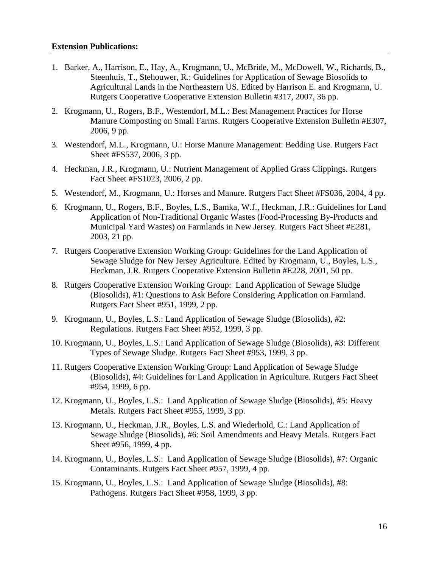#### **Extension Publications:**

- 1. Barker, A., Harrison, E., Hay, A., Krogmann, U., McBride, M., McDowell, W., Richards, B., Steenhuis, T., Stehouwer, R.: Guidelines for Application of Sewage Biosolids to Agricultural Lands in the Northeastern US. Edited by Harrison E. and Krogmann, U. Rutgers Cooperative Cooperative Extension Bulletin #317, 2007, 36 pp.
- 2. Krogmann, U., Rogers, B.F., Westendorf, M.L.: Best Management Practices for Horse Manure Composting on Small Farms. Rutgers Cooperative Extension Bulletin #E307, 2006, 9 pp.
- 3. Westendorf, M.L., Krogmann, U.: Horse Manure Management: Bedding Use. Rutgers Fact Sheet #FS537, 2006, 3 pp.
- 4. Heckman, J.R., Krogmann, U.: Nutrient Management of Applied Grass Clippings. Rutgers Fact Sheet #FS1023, 2006, 2 pp.
- 5. Westendorf, M., Krogmann, U.: Horses and Manure. Rutgers Fact Sheet #FS036, 2004, 4 pp.
- 6. Krogmann, U., Rogers, B.F., Boyles, L.S., Bamka, W.J., Heckman, J.R.: Guidelines for Land Application of Non-Traditional Organic Wastes (Food-Processing By-Products and Municipal Yard Wastes) on Farmlands in New Jersey. Rutgers Fact Sheet #E281, 2003, 21 pp.
- 7. Rutgers Cooperative Extension Working Group: Guidelines for the Land Application of Sewage Sludge for New Jersey Agriculture. Edited by Krogmann, U., Boyles, L.S., Heckman, J.R. Rutgers Cooperative Extension Bulletin #E228, 2001, 50 pp.
- 8. Rutgers Cooperative Extension Working Group: Land Application of Sewage Sludge (Biosolids), #1: Questions to Ask Before Considering Application on Farmland. Rutgers Fact Sheet #951, 1999, 2 pp.
- 9. Krogmann, U., Boyles, L.S.: Land Application of Sewage Sludge (Biosolids), #2: Regulations. Rutgers Fact Sheet #952, 1999, 3 pp.
- 10. Krogmann, U., Boyles, L.S.: Land Application of Sewage Sludge (Biosolids), #3: Different Types of Sewage Sludge. Rutgers Fact Sheet #953, 1999, 3 pp.
- 11. Rutgers Cooperative Extension Working Group: Land Application of Sewage Sludge (Biosolids), #4: Guidelines for Land Application in Agriculture. Rutgers Fact Sheet #954, 1999, 6 pp.
- 12. Krogmann, U., Boyles, L.S.: Land Application of Sewage Sludge (Biosolids), #5: Heavy Metals. Rutgers Fact Sheet #955, 1999, 3 pp.
- 13. Krogmann, U., Heckman, J.R., Boyles, L.S. and Wiederhold, C.: Land Application of Sewage Sludge (Biosolids), #6: Soil Amendments and Heavy Metals. Rutgers Fact Sheet #956, 1999, 4 pp.
- 14. Krogmann, U., Boyles, L.S.: Land Application of Sewage Sludge (Biosolids), #7: Organic Contaminants. Rutgers Fact Sheet #957, 1999, 4 pp.
- 15. Krogmann, U., Boyles, L.S.: Land Application of Sewage Sludge (Biosolids), #8: Pathogens. Rutgers Fact Sheet #958, 1999, 3 pp.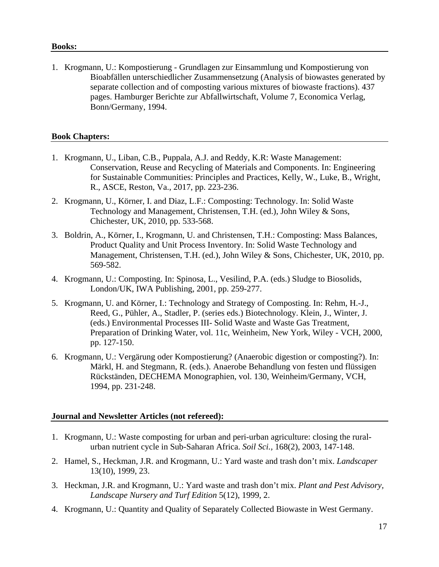#### **Books:**

1. Krogmann, U.: Kompostierung - Grundlagen zur Einsammlung und Kompostierung von Bioabfällen unterschiedlicher Zusammensetzung (Analysis of biowastes generated by separate collection and of composting various mixtures of biowaste fractions). 437 pages. Hamburger Berichte zur Abfallwirtschaft, Volume 7, Economica Verlag, Bonn/Germany, 1994.

## **Book Chapters:**

- 1. Krogmann, U., Liban, C.B., Puppala, A.J. and Reddy, K.R: Waste Management: Conservation, Reuse and Recycling of Materials and Components. In: Engineering for Sustainable Communities: Principles and Practices, Kelly, W., Luke, B., Wright, R., ASCE, Reston, Va., 2017, pp. 223-236.
- 2. Krogmann, U., Körner, I. and Diaz, L.F.: Composting: Technology. In: Solid Waste Technology and Management, Christensen, T.H. (ed.), John Wiley & Sons, Chichester, UK, 2010, pp. 533-568.
- 3. Boldrin, A., Körner, I., Krogmann, U. and Christensen, T.H.: Composting: Mass Balances, Product Quality and Unit Process Inventory. In: Solid Waste Technology and Management, Christensen, T.H. (ed.), John Wiley & Sons, Chichester, UK, 2010, pp. 569-582.
- 4. Krogmann, U.: Composting. In: Spinosa, L., Vesilind, P.A. (eds.) Sludge to Biosolids, London/UK, IWA Publishing, 2001, pp. 259-277.
- 5. Krogmann, U. and Körner, I.: Technology and Strategy of Composting. In: Rehm, H.-J., Reed, G., Pühler, A., Stadler, P. (series eds.) Biotechnology. Klein, J., Winter, J. (eds.) Environmental Processes III- Solid Waste and Waste Gas Treatment, Preparation of Drinking Water, vol. 11c, Weinheim, New York, Wiley - VCH, 2000, pp. 127-150.
- 6. Krogmann, U.: Vergärung oder Kompostierung? (Anaerobic digestion or composting?). In: Märkl, H. and Stegmann, R. (eds.). Anaerobe Behandlung von festen und flüssigen Rückständen, DECHEMA Monographien, vol. 130, Weinheim/Germany, VCH, 1994, pp. 231-248.

## **Journal and Newsletter Articles (not refereed):**

- 1. Krogmann, U.: Waste composting for urban and peri-urban agriculture: closing the ruralurban nutrient cycle in Sub-Saharan Africa. *Soil Sci.,* 168(2), 2003, 147-148.
- 2. Hamel, S., Heckman, J.R. and Krogmann, U.: Yard waste and trash don't mix. *Landscaper* 13(10), 1999, 23.
- 3. Heckman, J.R. and Krogmann, U.: Yard waste and trash don't mix. *Plant and Pest Advisory, Landscape Nursery and Turf Edition* 5(12), 1999, 2.
- 4. Krogmann, U.: Quantity and Quality of Separately Collected Biowaste in West Germany.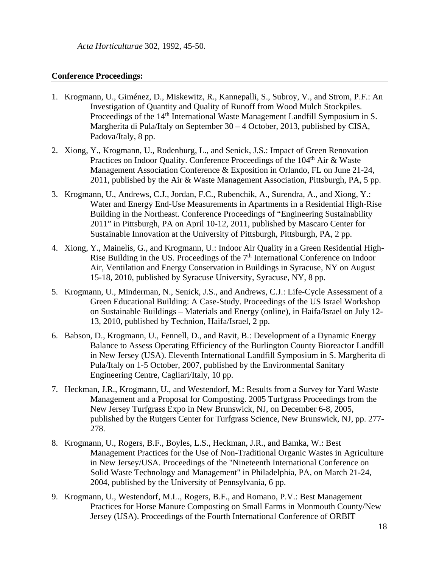*Acta Horticulturae* 302, 1992, 45-50.

#### **Conference Proceedings:**

- 1. Krogmann, U., Giménez, D., Miskewitz, R., Kannepalli, S., Subroy, V., and Strom, P.F.: An Investigation of Quantity and Quality of Runoff from Wood Mulch Stockpiles. Proceedings of the 14<sup>th</sup> International Waste Management Landfill Symposium in S. Margherita di Pula/Italy on September 30 – 4 October, 2013, published by CISA, Padova/Italy, 8 pp.
- 2. Xiong, Y., Krogmann, U., Rodenburg, L., and Senick, J.S.: Impact of Green Renovation Practices on Indoor Quality. Conference Proceedings of the 104<sup>th</sup> Air & Waste Management Association Conference & Exposition in Orlando, FL on June 21-24, 2011, published by the Air & Waste Management Association, Pittsburgh, PA, 5 pp.
- 3. Krogmann, U., Andrews, C.J., Jordan, F.C., Rubenchik, A., Surendra, A., and Xiong, Y.: Water and Energy End-Use Measurements in Apartments in a Residential High-Rise Building in the Northeast. Conference Proceedings of "Engineering Sustainability 2011" in Pittsburgh, PA on April 10-12, 2011, published by Mascaro Center for Sustainable Innovation at the University of Pittsburgh, Pittsburgh, PA, 2 pp.
- 4. Xiong, Y., Mainelis, G., and Krogmann, U.: Indoor Air Quality in a Green Residential High-Rise Building in the US. Proceedings of the  $7<sup>th</sup>$  International Conference on Indoor Air, Ventilation and Energy Conservation in Buildings in Syracuse, NY on August 15-18, 2010, published by Syracuse University, Syracuse, NY, 8 pp.
- 5. Krogmann, U., Minderman, N., Senick, J.S., and Andrews, C.J.: Life-Cycle Assessment of a Green Educational Building: A Case-Study. Proceedings of the US Israel Workshop on Sustainable Buildings – Materials and Energy (online), in Haifa/Israel on July 12- 13, 2010, published by Technion, Haifa/Israel, 2 pp.
- 6. Babson, D., Krogmann, U., Fennell, D., and Ravit, B.: Development of a Dynamic Energy Balance to Assess Operating Efficiency of the Burlington County Bioreactor Landfill in New Jersey (USA). Eleventh International Landfill Symposium in S. Margherita di Pula/Italy on 1-5 October, 2007, published by the Environmental Sanitary Engineering Centre, Cagliari/Italy, 10 pp.
- 7. Heckman, J.R., Krogmann, U., and Westendorf, M.: Results from a Survey for Yard Waste Management and a Proposal for Composting. 2005 Turfgrass Proceedings from the New Jersey Turfgrass Expo in New Brunswick, NJ, on December 6-8, 2005, published by the Rutgers Center for Turfgrass Science, New Brunswick, NJ, pp. 277- 278.
- 8. Krogmann, U., Rogers, B.F., Boyles, L.S., Heckman, J.R., and Bamka, W.: Best Management Practices for the Use of Non-Traditional Organic Wastes in Agriculture in New Jersey/USA. Proceedings of the "Nineteenth International Conference on Solid Waste Technology and Management" in Philadelphia, PA, on March 21-24, 2004, published by the University of Pennsylvania, 6 pp.
- 9. Krogmann, U., Westendorf, M.L., Rogers, B.F., and Romano, P.V.: Best Management Practices for Horse Manure Composting on Small Farms in Monmouth County/New Jersey (USA). Proceedings of the Fourth International Conference of ORBIT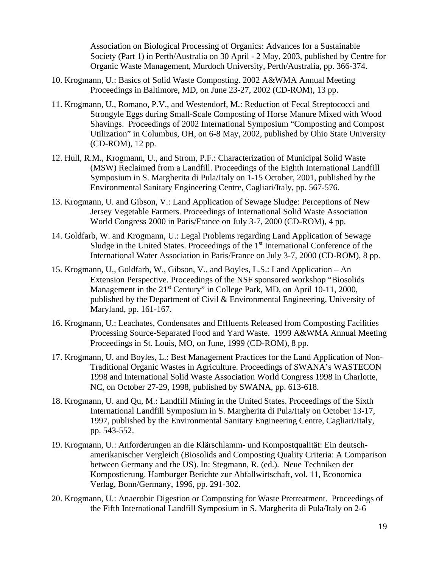Association on Biological Processing of Organics: Advances for a Sustainable Society (Part 1) in Perth/Australia on 30 April - 2 May, 2003, published by Centre for Organic Waste Management, Murdoch University, Perth/Australia, pp. 366-374.

- 10. Krogmann, U.: Basics of Solid Waste Composting. 2002 A&WMA Annual Meeting Proceedings in Baltimore, MD, on June 23-27, 2002 (CD-ROM), 13 pp.
- 11. Krogmann, U., Romano, P.V., and Westendorf, M.: Reduction of Fecal Streptococci and Strongyle Eggs during Small-Scale Composting of Horse Manure Mixed with Wood Shavings. Proceedings of 2002 International Symposium "Composting and Compost Utilization" in Columbus, OH, on 6-8 May, 2002, published by Ohio State University (CD-ROM), 12 pp.
- 12. Hull, R.M., Krogmann, U., and Strom, P.F.: Characterization of Municipal Solid Waste (MSW) Reclaimed from a Landfill. Proceedings of the Eighth International Landfill Symposium in S. Margherita di Pula/Italy on 1-15 October, 2001, published by the Environmental Sanitary Engineering Centre, Cagliari/Italy, pp. 567-576.
- 13. Krogmann, U. and Gibson, V.: Land Application of Sewage Sludge: Perceptions of New Jersey Vegetable Farmers. Proceedings of International Solid Waste Association World Congress 2000 in Paris/France on July 3-7, 2000 (CD-ROM), 4 pp.
- 14. Goldfarb, W. and Krogmann, U.: Legal Problems regarding Land Application of Sewage Sludge in the United States. Proceedings of the 1st International Conference of the International Water Association in Paris/France on July 3-7, 2000 (CD-ROM), 8 pp.
- 15. Krogmann, U., Goldfarb, W., Gibson, V., and Boyles, L.S.: Land Application An Extension Perspective. Proceedings of the NSF sponsored workshop "Biosolids Management in the 21<sup>st</sup> Century" in College Park, MD, on April 10-11, 2000, published by the Department of Civil & Environmental Engineering, University of Maryland, pp. 161-167.
- 16. Krogmann, U.: Leachates, Condensates and Effluents Released from Composting Facilities Processing Source-Separated Food and Yard Waste. 1999 A&WMA Annual Meeting Proceedings in St. Louis, MO, on June, 1999 (CD-ROM), 8 pp.
- 17. Krogmann, U. and Boyles, L.: Best Management Practices for the Land Application of Non-Traditional Organic Wastes in Agriculture. Proceedings of SWANA's WASTECON 1998 and International Solid Waste Association World Congress 1998 in Charlotte, NC, on October 27-29, 1998, published by SWANA, pp. 613-618.
- 18. Krogmann, U. and Qu, M.: Landfill Mining in the United States. Proceedings of the Sixth International Landfill Symposium in S. Margherita di Pula/Italy on October 13-17, 1997, published by the Environmental Sanitary Engineering Centre, Cagliari/Italy, pp. 543-552.
- 19. Krogmann, U.: Anforderungen an die Klärschlamm- und Kompostqualität: Ein deutschamerikanischer Vergleich (Biosolids and Composting Quality Criteria: A Comparison between Germany and the US). In: Stegmann, R. (ed.). Neue Techniken der Kompostierung. Hamburger Berichte zur Abfallwirtschaft, vol. 11, Economica Verlag, Bonn/Germany, 1996, pp. 291-302.
- 20. Krogmann, U.: Anaerobic Digestion or Composting for Waste Pretreatment. Proceedings of the Fifth International Landfill Symposium in S. Margherita di Pula/Italy on 2-6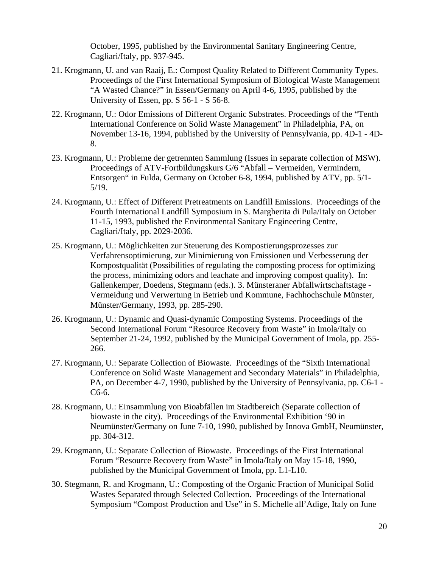October, 1995, published by the Environmental Sanitary Engineering Centre, Cagliari/Italy, pp. 937-945.

- 21. Krogmann, U. and van Raaij, E.: Compost Quality Related to Different Community Types. Proceedings of the First International Symposium of Biological Waste Management "A Wasted Chance?" in Essen/Germany on April 4-6, 1995, published by the University of Essen, pp. S 56-1 - S 56-8.
- 22. Krogmann, U.: Odor Emissions of Different Organic Substrates. Proceedings of the "Tenth International Conference on Solid Waste Management" in Philadelphia, PA, on November 13-16, 1994, published by the University of Pennsylvania, pp. 4D-1 - 4D-8.
- 23. Krogmann, U.: Probleme der getrennten Sammlung (Issues in separate collection of MSW). Proceedings of ATV-Fortbildungskurs G/6 "Abfall – Vermeiden, Vermindern, Entsorgen" in Fulda, Germany on October 6-8, 1994, published by ATV, pp. 5/1- 5/19.
- 24. Krogmann, U.: Effect of Different Pretreatments on Landfill Emissions. Proceedings of the Fourth International Landfill Symposium in S. Margherita di Pula/Italy on October 11-15, 1993, published the Environmental Sanitary Engineering Centre, Cagliari/Italy, pp. 2029-2036.
- 25. Krogmann, U.: Möglichkeiten zur Steuerung des Kompostierungsprozesses zur Verfahrensoptimierung, zur Minimierung von Emissionen und Verbesserung der Kompostqualität (Possibilities of regulating the composting process for optimizing the process, minimizing odors and leachate and improving compost quality). In: Gallenkemper, Doedens, Stegmann (eds.). 3. Münsteraner Abfallwirtschaftstage - Vermeidung und Verwertung in Betrieb und Kommune, Fachhochschule Münster, Münster/Germany, 1993, pp. 285-290.
- 26. Krogmann, U.: Dynamic and Quasi-dynamic Composting Systems. Proceedings of the Second International Forum "Resource Recovery from Waste" in Imola/Italy on September 21-24, 1992, published by the Municipal Government of Imola, pp. 255- 266.
- 27. Krogmann, U.: Separate Collection of Biowaste. Proceedings of the "Sixth International Conference on Solid Waste Management and Secondary Materials" in Philadelphia, PA, on December 4-7, 1990, published by the University of Pennsylvania, pp. C6-1 - C6-6.
- 28. Krogmann, U.: Einsammlung von Bioabfällen im Stadtbereich (Separate collection of biowaste in the city). Proceedings of the Environmental Exhibition '90 in Neumünster/Germany on June 7-10, 1990, published by Innova GmbH, Neumünster, pp. 304-312.
- 29. Krogmann, U.: Separate Collection of Biowaste. Proceedings of the First International Forum "Resource Recovery from Waste" in Imola/Italy on May 15-18, 1990, published by the Municipal Government of Imola, pp. L1-L10.
- 30. Stegmann, R. and Krogmann, U.: Composting of the Organic Fraction of Municipal Solid Wastes Separated through Selected Collection. Proceedings of the International Symposium "Compost Production and Use" in S. Michelle all'Adige, Italy on June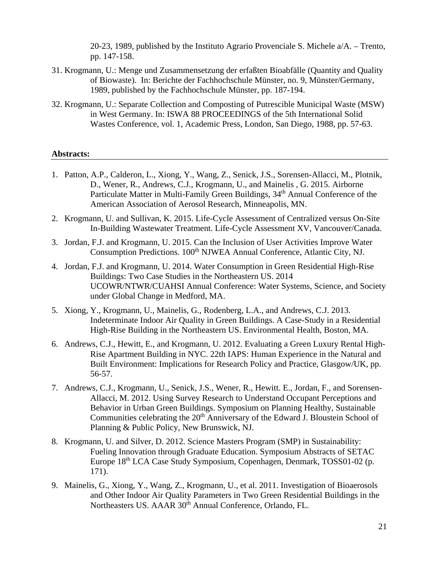20-23, 1989, published by the Instituto Agrario Provenciale S. Michele a/A. – Trento, pp. 147-158.

- 31. Krogmann, U.: Menge und Zusammensetzung der erfaßten Bioabfälle (Quantity and Quality of Biowaste). In: Berichte der Fachhochschule Münster, no. 9, Münster/Germany, 1989, published by the Fachhochschule Münster, pp. 187-194.
- 32. Krogmann, U.: Separate Collection and Composting of Putrescible Municipal Waste (MSW) in West Germany. In: ISWA 88 PROCEEDINGS of the 5th International Solid Wastes Conference, vol. 1, Academic Press, London, San Diego, 1988, pp. 57-63.

#### **Abstracts:**

- 1. Patton, A.P., Calderon, L., Xiong, Y., Wang, Z., Senick, J.S., Sorensen-Allacci, M., Plotnik, D., Wener, R., Andrews, C.J., Krogmann, U., and Mainelis , G. 2015. Airborne Particulate Matter in Multi-Family Green Buildings, 34<sup>th</sup> Annual Conference of the American Association of Aerosol Research, Minneapolis, MN.
- 2. Krogmann, U. and Sullivan, K. 2015. Life-Cycle Assessment of Centralized versus On-Site In-Building Wastewater Treatment. Life-Cycle Assessment XV, Vancouver/Canada.
- 3. Jordan, F.J. and Krogmann, U. 2015. Can the Inclusion of User Activities Improve Water Consumption Predictions. 100<sup>th</sup> NJWEA Annual Conference, Atlantic City, NJ.
- 4. Jordan, F.J. and Krogmann, U. 2014. Water Consumption in Green Residential High-Rise Buildings: Two Case Studies in the Northeastern US. 2014 UCOWR/NTWR/CUAHSI Annual Conference: Water Systems, Science, and Society under Global Change in Medford, MA.
- 5. Xiong, Y., Krogmann, U., Mainelis, G., Rodenberg, L.A., and Andrews, C.J. 2013. Indeterminate Indoor Air Quality in Green Buildings. A Case-Study in a Residential High-Rise Building in the Northeastern US. Environmental Health, Boston, MA.
- 6. Andrews, C.J., Hewitt, E., and Krogmann, U. 2012. Evaluating a Green Luxury Rental High-Rise Apartment Building in NYC. 22th IAPS: Human Experience in the Natural and Built Environment: Implications for Research Policy and Practice, Glasgow/UK, pp. 56-57.
- 7. Andrews, C.J., Krogmann, U., Senick, J.S., Wener, R., Hewitt. E., Jordan, F., and Sorensen-Allacci, M. 2012. Using Survey Research to Understand Occupant Perceptions and Behavior in Urban Green Buildings. Symposium on Planning Healthy, Sustainable Communities celebrating the 20<sup>th</sup> Anniversary of the Edward J. Bloustein School of Planning & Public Policy, New Brunswick, NJ.
- 8. Krogmann, U. and Silver, D. 2012. Science Masters Program (SMP) in Sustainability: Fueling Innovation through Graduate Education. Symposium Abstracts of SETAC Europe 18th LCA Case Study Symposium, Copenhagen, Denmark, TOSS01-02 (p. 171).
- 9. Mainelis, G., Xiong, Y., Wang, Z., Krogmann, U., et al. 2011. Investigation of Bioaerosols and Other Indoor Air Quality Parameters in Two Green Residential Buildings in the Northeasters US. AAAR 30<sup>th</sup> Annual Conference, Orlando, FL.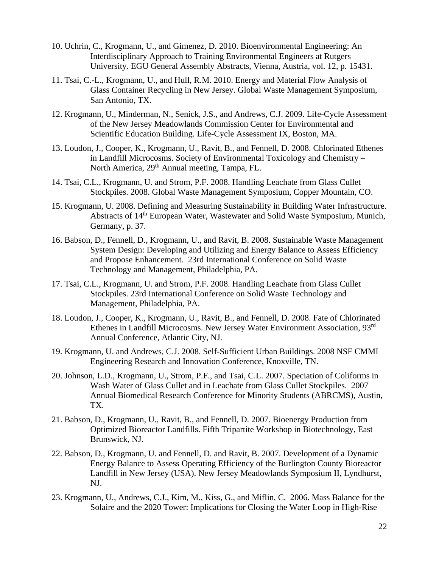- 10. Uchrin, C., Krogmann, U., and Gimenez, D. 2010. Bioenvironmental Engineering: An Interdisciplinary Approach to Training Environmental Engineers at Rutgers University. EGU General Assembly Abstracts, Vienna, Austria, vol. 12, p. 15431.
- 11. Tsai, C.-L., Krogmann, U., and Hull, R.M. 2010. Energy and Material Flow Analysis of Glass Container Recycling in New Jersey. Global Waste Management Symposium, San Antonio, TX.
- 12. Krogmann, U., Minderman, N., Senick, J.S., and Andrews, C.J. 2009. Life-Cycle Assessment of the New Jersey Meadowlands Commission Center for Environmental and Scientific Education Building. Life-Cycle Assessment IX, Boston, MA.
- 13. Loudon, J., Cooper, K., Krogmann, U., Ravit, B., and Fennell, D. 2008. Chlorinated Ethenes in Landfill Microcosms. Society of Environmental Toxicology and Chemistry – North America, 29<sup>th</sup> Annual meeting, Tampa, FL.
- 14. Tsai, C.L., Krogmann, U. and Strom, P.F. 2008. Handling Leachate from Glass Cullet Stockpiles. 2008. Global Waste Management Symposium, Copper Mountain, CO.
- 15. Krogmann, U. 2008. Defining and Measuring Sustainability in Building Water Infrastructure. Abstracts of 14<sup>th</sup> European Water, Wastewater and Solid Waste Symposium, Munich, Germany, p. 37.
- 16. Babson, D., Fennell, D., Krogmann, U., and Ravit, B. 2008. Sustainable Waste Management System Design: Developing and Utilizing and Energy Balance to Assess Efficiency and Propose Enhancement. 23rd International Conference on Solid Waste Technology and Management, Philadelphia, PA.
- 17. Tsai, C.L., Krogmann, U. and Strom, P.F. 2008. Handling Leachate from Glass Cullet Stockpiles. 23rd International Conference on Solid Waste Technology and Management, Philadelphia, PA.
- 18. Loudon, J., Cooper, K., Krogmann, U., Ravit, B., and Fennell, D. 2008. Fate of Chlorinated Ethenes in Landfill Microcosms. New Jersey Water Environment Association, 93rd Annual Conference, Atlantic City, NJ.
- 19. Krogmann, U. and Andrews, C.J. 2008. Self-Sufficient Urban Buildings. 2008 NSF CMMI Engineering Research and Innovation Conference, Knoxville, TN.
- 20. Johnson, L.D., Krogmann, U., Strom, P.F., and Tsai, C.L. 2007. Speciation of Coliforms in Wash Water of Glass Cullet and in Leachate from Glass Cullet Stockpiles. 2007 Annual Biomedical Research Conference for Minority Students (ABRCMS), Austin, TX.
- 21. Babson, D., Krogmann, U., Ravit, B., and Fennell, D. 2007. Bioenergy Production from Optimized Bioreactor Landfills. Fifth Tripartite Workshop in Biotechnology, East Brunswick, NJ.
- 22. Babson, D., Krogmann, U. and Fennell, D. and Ravit, B. 2007. Development of a Dynamic Energy Balance to Assess Operating Efficiency of the Burlington County Bioreactor Landfill in New Jersey (USA). New Jersey Meadowlands Symposium II, Lyndhurst, NJ.
- 23. Krogmann, U., Andrews, C.J., Kim, M., Kiss, G., and Miflin, C. 2006. Mass Balance for the Solaire and the 2020 Tower: Implications for Closing the Water Loop in High-Rise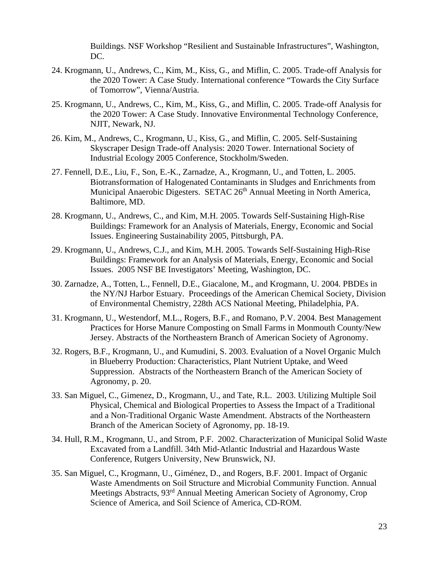Buildings. NSF Workshop "Resilient and Sustainable Infrastructures", Washington, DC.

- 24. Krogmann, U., Andrews, C., Kim, M., Kiss, G., and Miflin, C. 2005. Trade-off Analysis for the 2020 Tower: A Case Study. International conference "Towards the City Surface of Tomorrow", Vienna/Austria.
- 25. Krogmann, U., Andrews, C., Kim, M., Kiss, G., and Miflin, C. 2005. Trade-off Analysis for the 2020 Tower: A Case Study. Innovative Environmental Technology Conference, NJIT, Newark, NJ.
- 26. Kim, M., Andrews, C., Krogmann, U., Kiss, G., and Miflin, C. 2005. Self-Sustaining Skyscraper Design Trade-off Analysis: 2020 Tower. International Society of Industrial Ecology 2005 Conference, Stockholm/Sweden.
- 27. Fennell, D.E., Liu, F., Son, E.-K., Zarnadze, A., Krogmann, U., and Totten, L. 2005. Biotransformation of Halogenated Contaminants in Sludges and Enrichments from Municipal Anaerobic Digesters. SETAC 26<sup>th</sup> Annual Meeting in North America, Baltimore, MD.
- 28. Krogmann, U., Andrews, C., and Kim, M.H. 2005. Towards Self-Sustaining High-Rise Buildings: Framework for an Analysis of Materials, Energy, Economic and Social Issues. Engineering Sustainability 2005, Pittsburgh, PA.
- 29. Krogmann, U., Andrews, C.J., and Kim, M.H. 2005. Towards Self-Sustaining High-Rise Buildings: Framework for an Analysis of Materials, Energy, Economic and Social Issues. 2005 NSF BE Investigators' Meeting, Washington, DC.
- 30. Zarnadze, A., Totten, L., Fennell, D.E., Giacalone, M., and Krogmann, U. 2004. PBDEs in the NY/NJ Harbor Estuary. Proceedings of the American Chemical Society, Division of Environmental Chemistry, 228th ACS National Meeting, Philadelphia, PA.
- 31. Krogmann, U., Westendorf, M.L., Rogers, B.F., and Romano, P.V. 2004. Best Management Practices for Horse Manure Composting on Small Farms in Monmouth County/New Jersey. Abstracts of the Northeastern Branch of American Society of Agronomy.
- 32. Rogers, B.F., Krogmann, U., and Kumudini, S. 2003. Evaluation of a Novel Organic Mulch in Blueberry Production: Characteristics, Plant Nutrient Uptake, and Weed Suppression. Abstracts of the Northeastern Branch of the American Society of Agronomy, p. 20.
- 33. San Miguel, C., Gimenez, D., Krogmann, U., and Tate, R.L. 2003. Utilizing Multiple Soil Physical, Chemical and Biological Properties to Assess the Impact of a Traditional and a Non-Traditional Organic Waste Amendment. Abstracts of the Northeastern Branch of the American Society of Agronomy, pp. 18-19.
- 34. Hull, R.M., Krogmann, U., and Strom, P.F. 2002. Characterization of Municipal Solid Waste Excavated from a Landfill. 34th Mid-Atlantic Industrial and Hazardous Waste Conference, Rutgers University, New Brunswick, NJ.
- 35. San Miguel, C., Krogmann, U., Giménez, D., and Rogers, B.F. 2001. Impact of Organic Waste Amendments on Soil Structure and Microbial Community Function. Annual Meetings Abstracts, 93rd Annual Meeting American Society of Agronomy, Crop Science of America, and Soil Science of America, CD-ROM.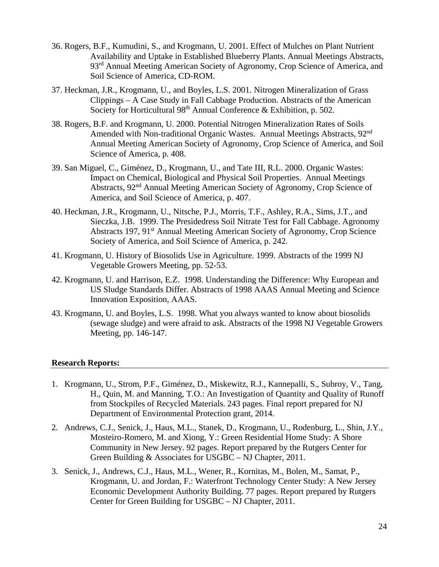- 36. Rogers, B.F., Kumudini, S., and Krogmann, U. 2001. Effect of Mulches on Plant Nutrient Availability and Uptake in Established Blueberry Plants. Annual Meetings Abstracts, 93<sup>rd</sup> Annual Meeting American Society of Agronomy, Crop Science of America, and Soil Science of America, CD-ROM.
- 37. Heckman, J.R., Krogmann, U., and Boyles, L.S. 2001. Nitrogen Mineralization of Grass Clippings – A Case Study in Fall Cabbage Production. Abstracts of the American Society for Horticultural 98<sup>th</sup> Annual Conference & Exhibition, p. 502.
- 38. Rogers, B.F. and Krogmann, U. 2000. Potential Nitrogen Mineralization Rates of Soils Amended with Non-traditional Organic Wastes. Annual Meetings Abstracts, 92<sup>nd</sup> Annual Meeting American Society of Agronomy, Crop Science of America, and Soil Science of America, p. 408.
- 39. San Miguel, C., Giménez, D., Krogmann, U., and Tate III, R.L. 2000. Organic Wastes: Impact on Chemical, Biological and Physical Soil Properties. Annual Meetings Abstracts, 92nd Annual Meeting American Society of Agronomy, Crop Science of America, and Soil Science of America, p. 407.
- 40. Heckman, J.R., Krogmann, U., Nitsche, P.J., Morris, T.F., Ashley, R.A., Sims, J.T., and Sieczka, J.B. 1999. The Presidedress Soil Nitrate Test for Fall Cabbage. Agronomy Abstracts 197, 91<sup>st</sup> Annual Meeting American Society of Agronomy, Crop Science Society of America, and Soil Science of America, p. 242.
- 41. Krogmann, U. History of Biosolids Use in Agriculture. 1999. Abstracts of the 1999 NJ Vegetable Growers Meeting, pp. 52-53.
- 42. Krogmann, U. and Harrison, E.Z. 1998. Understanding the Difference: Why European and US Sludge Standards Differ. Abstracts of 1998 AAAS Annual Meeting and Science Innovation Exposition, AAAS.
- 43. Krogmann, U. and Boyles, L.S. 1998. What you always wanted to know about biosolids (sewage sludge) and were afraid to ask. Abstracts of the 1998 NJ Vegetable Growers Meeting, pp. 146-147.

# **Research Reports:**

- 1. Krogmann, U., Strom, P.F., Giménez, D., Miskewitz, R.J., Kannepalli, S., Subroy, V., Tang, H., Quin, M. and Manning, T.O.: An Investigation of Quantity and Quality of Runoff from Stockpiles of Recycled Materials. 243 pages. Final report prepared for NJ Department of Environmental Protection grant, 2014.
- 2. Andrews, C.J., Senick, J., Haus, M.L., Stanek, D., Krogmann, U., Rodenburg, L., Shin, J.Y., Mosteiro-Romero, M. and Xiong, Y.: Green Residential Home Study: A Shore Community in New Jersey. 92 pages. Report prepared by the Rutgers Center for Green Building & Associates for USGBC – NJ Chapter, 2011.
- 3. Senick, J., Andrews, C.J., Haus, M.L., Wener, R., Kornitas, M., Bolen, M., Samat, P., Krogmann, U. and Jordan, F.: Waterfront Technology Center Study: A New Jersey Economic Development Authority Building. 77 pages. Report prepared by Rutgers Center for Green Building for USGBC – NJ Chapter, 2011.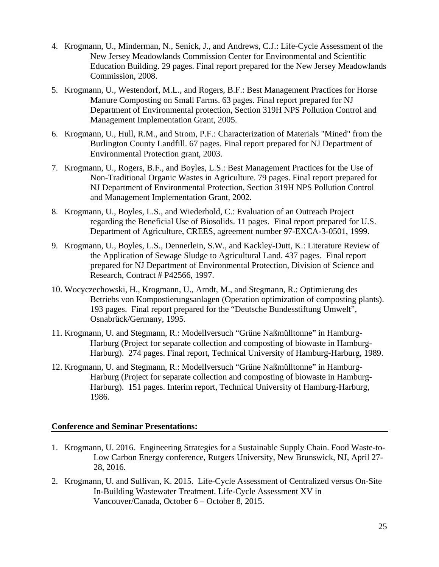- 4. Krogmann, U., Minderman, N., Senick, J., and Andrews, C.J.: Life-Cycle Assessment of the New Jersey Meadowlands Commission Center for Environmental and Scientific Education Building. 29 pages. Final report prepared for the New Jersey Meadowlands Commission, 2008.
- 5. Krogmann, U., Westendorf, M.L., and Rogers, B.F.: Best Management Practices for Horse Manure Composting on Small Farms. 63 pages. Final report prepared for NJ Department of Environmental protection, Section 319H NPS Pollution Control and Management Implementation Grant, 2005.
- 6. Krogmann, U., Hull, R.M., and Strom, P.F.: Characterization of Materials "Mined" from the Burlington County Landfill. 67 pages. Final report prepared for NJ Department of Environmental Protection grant, 2003.
- 7. Krogmann, U., Rogers, B.F., and Boyles, L.S.: Best Management Practices for the Use of Non-Traditional Organic Wastes in Agriculture. 79 pages. Final report prepared for NJ Department of Environmental Protection, Section 319H NPS Pollution Control and Management Implementation Grant, 2002.
- 8. Krogmann, U., Boyles, L.S., and Wiederhold, C.: Evaluation of an Outreach Project regarding the Beneficial Use of Biosolids. 11 pages. Final report prepared for U.S. Department of Agriculture, CREES, agreement number 97-EXCA-3-0501, 1999.
- 9. Krogmann, U., Boyles, L.S., Dennerlein, S.W., and Kackley-Dutt, K.: Literature Review of the Application of Sewage Sludge to Agricultural Land. 437 pages. Final report prepared for NJ Department of Environmental Protection, Division of Science and Research, Contract # P42566, 1997.
- 10. Wocyczechowski, H., Krogmann, U., Arndt, M., and Stegmann, R.: Optimierung des Betriebs von Kompostierungsanlagen (Operation optimization of composting plants). 193 pages. Final report prepared for the "Deutsche Bundesstiftung Umwelt", Osnabrück/Germany, 1995.
- 11. Krogmann, U. and Stegmann, R.: Modellversuch "Grüne Naßmülltonne" in Hamburg-Harburg (Project for separate collection and composting of biowaste in Hamburg-Harburg). 274 pages. Final report, Technical University of Hamburg-Harburg, 1989.
- 12. Krogmann, U. and Stegmann, R.: Modellversuch "Grüne Naßmülltonne" in Hamburg-Harburg (Project for separate collection and composting of biowaste in Hamburg-Harburg). 151 pages. Interim report, Technical University of Hamburg-Harburg, 1986.

# **Conference and Seminar Presentations:**

- 1. Krogmann, U. 2016. Engineering Strategies for a Sustainable Supply Chain. Food Waste-to-Low Carbon Energy conference, Rutgers University, New Brunswick, NJ, April 27- 28, 2016.
- 2. Krogmann, U. and Sullivan, K. 2015. Life-Cycle Assessment of Centralized versus On-Site In-Building Wastewater Treatment. Life-Cycle Assessment XV in Vancouver/Canada, October 6 – October 8, 2015.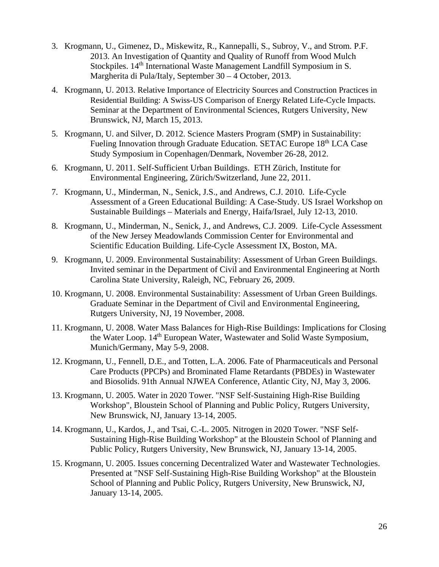- 3. Krogmann, U., Gimenez, D., Miskewitz, R., Kannepalli, S., Subroy, V., and Strom. P.F. 2013. An Investigation of Quantity and Quality of Runoff from Wood Mulch Stockpiles. 14<sup>th</sup> International Waste Management Landfill Symposium in S. Margherita di Pula/Italy, September 30 – 4 October, 2013.
- 4. Krogmann, U. 2013. Relative Importance of Electricity Sources and Construction Practices in Residential Building: A Swiss-US Comparison of Energy Related Life-Cycle Impacts. Seminar at the Department of Environmental Sciences, Rutgers University, New Brunswick, NJ, March 15, 2013.
- 5. Krogmann, U. and Silver, D. 2012. Science Masters Program (SMP) in Sustainability: Fueling Innovation through Graduate Education. SETAC Europe 18<sup>th</sup> LCA Case Study Symposium in Copenhagen/Denmark, November 26-28, 2012.
- 6. Krogmann, U. 2011. Self-Sufficient Urban Buildings. ETH Zürich, Institute for Environmental Engineering, Zürich/Switzerland, June 22, 2011.
- 7. Krogmann, U., Minderman, N., Senick, J.S., and Andrews, C.J. 2010. Life-Cycle Assessment of a Green Educational Building: A Case-Study. US Israel Workshop on Sustainable Buildings – Materials and Energy, Haifa/Israel, July 12-13, 2010.
- 8. Krogmann, U., Minderman, N., Senick, J., and Andrews, C.J. 2009. Life-Cycle Assessment of the New Jersey Meadowlands Commission Center for Environmental and Scientific Education Building. Life-Cycle Assessment IX, Boston, MA.
- 9. Krogmann, U. 2009. Environmental Sustainability: Assessment of Urban Green Buildings. Invited seminar in the Department of Civil and Environmental Engineering at North Carolina State University, Raleigh, NC, February 26, 2009.
- 10. Krogmann, U. 2008. Environmental Sustainability: Assessment of Urban Green Buildings. Graduate Seminar in the Department of Civil and Environmental Engineering, Rutgers University, NJ, 19 November, 2008.
- 11. Krogmann, U. 2008. Water Mass Balances for High-Rise Buildings: Implications for Closing the Water Loop. 14<sup>th</sup> European Water, Wastewater and Solid Waste Symposium, Munich/Germany, May 5-9, 2008.
- 12. Krogmann, U., Fennell, D.E., and Totten, L.A. 2006. Fate of Pharmaceuticals and Personal Care Products (PPCPs) and Brominated Flame Retardants (PBDEs) in Wastewater and Biosolids. 91th Annual NJWEA Conference, Atlantic City, NJ, May 3, 2006.
- 13. Krogmann, U. 2005. Water in 2020 Tower. "NSF Self-Sustaining High-Rise Building Workshop", Bloustein School of Planning and Public Policy, Rutgers University, New Brunswick, NJ, January 13-14, 2005.
- 14. Krogmann, U., Kardos, J., and Tsai, C.-L. 2005. Nitrogen in 2020 Tower. "NSF Self-Sustaining High-Rise Building Workshop" at the Bloustein School of Planning and Public Policy, Rutgers University, New Brunswick, NJ, January 13-14, 2005.
- 15. Krogmann, U. 2005. Issues concerning Decentralized Water and Wastewater Technologies. Presented at "NSF Self-Sustaining High-Rise Building Workshop" at the Bloustein School of Planning and Public Policy, Rutgers University, New Brunswick, NJ, January 13-14, 2005.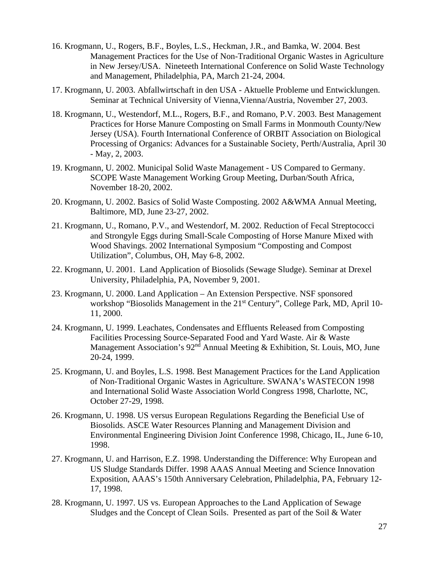- 16. Krogmann, U., Rogers, B.F., Boyles, L.S., Heckman, J.R., and Bamka, W. 2004. Best Management Practices for the Use of Non-Traditional Organic Wastes in Agriculture in New Jersey/USA. Nineteeth International Conference on Solid Waste Technology and Management, Philadelphia, PA, March 21-24, 2004.
- 17. Krogmann, U. 2003. Abfallwirtschaft in den USA Aktuelle Probleme und Entwicklungen. Seminar at Technical University of Vienna,Vienna/Austria, November 27, 2003.
- 18. Krogmann, U., Westendorf, M.L., Rogers, B.F., and Romano, P.V. 2003. Best Management Practices for Horse Manure Composting on Small Farms in Monmouth County/New Jersey (USA). Fourth International Conference of ORBIT Association on Biological Processing of Organics: Advances for a Sustainable Society, Perth/Australia, April 30 - May, 2, 2003.
- 19. Krogmann, U. 2002. Municipal Solid Waste Management US Compared to Germany. SCOPE Waste Management Working Group Meeting, Durban/South Africa, November 18-20, 2002.
- 20. Krogmann, U. 2002. Basics of Solid Waste Composting. 2002 A&WMA Annual Meeting, Baltimore, MD, June 23-27, 2002.
- 21. Krogmann, U., Romano, P.V., and Westendorf, M. 2002. Reduction of Fecal Streptococci and Strongyle Eggs during Small-Scale Composting of Horse Manure Mixed with Wood Shavings. 2002 International Symposium "Composting and Compost Utilization", Columbus, OH, May 6-8, 2002.
- 22. Krogmann, U. 2001. Land Application of Biosolids (Sewage Sludge). Seminar at Drexel University, Philadelphia, PA, November 9, 2001.
- 23. Krogmann, U. 2000. Land Application An Extension Perspective. NSF sponsored workshop "Biosolids Management in the 21<sup>st</sup> Century", College Park, MD, April 10-11, 2000.
- 24. Krogmann, U. 1999. Leachates, Condensates and Effluents Released from Composting Facilities Processing Source-Separated Food and Yard Waste. Air & Waste Management Association's  $92<sup>n\bar{d}</sup>$  Annual Meeting & Exhibition, St. Louis, MO, June 20-24, 1999.
- 25. Krogmann, U. and Boyles, L.S. 1998. Best Management Practices for the Land Application of Non-Traditional Organic Wastes in Agriculture. SWANA's WASTECON 1998 and International Solid Waste Association World Congress 1998, Charlotte, NC, October 27-29, 1998.
- 26. Krogmann, U. 1998. US versus European Regulations Regarding the Beneficial Use of Biosolids. ASCE Water Resources Planning and Management Division and Environmental Engineering Division Joint Conference 1998, Chicago, IL, June 6-10, 1998.
- 27. Krogmann, U. and Harrison, E.Z. 1998. Understanding the Difference: Why European and US Sludge Standards Differ. 1998 AAAS Annual Meeting and Science Innovation Exposition, AAAS's 150th Anniversary Celebration, Philadelphia, PA, February 12- 17, 1998.
- 28. Krogmann, U. 1997. US vs. European Approaches to the Land Application of Sewage Sludges and the Concept of Clean Soils. Presented as part of the Soil & Water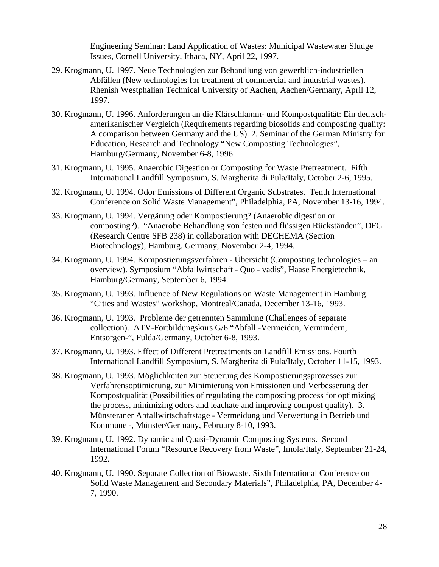Engineering Seminar: Land Application of Wastes: Municipal Wastewater Sludge Issues, Cornell University, Ithaca, NY, April 22, 1997.

- 29. Krogmann, U. 1997. Neue Technologien zur Behandlung von gewerblich-industriellen Abfällen (New technologies for treatment of commercial and industrial wastes). Rhenish Westphalian Technical University of Aachen, Aachen/Germany, April 12, 1997.
- 30. Krogmann, U. 1996. Anforderungen an die Klärschlamm- und Kompostqualität: Ein deutschamerikanischer Vergleich (Requirements regarding biosolids and composting quality: A comparison between Germany and the US). 2. Seminar of the German Ministry for Education, Research and Technology "New Composting Technologies", Hamburg/Germany, November 6-8, 1996.
- 31. Krogmann, U. 1995. Anaerobic Digestion or Composting for Waste Pretreatment. Fifth International Landfill Symposium, S. Margherita di Pula/Italy, October 2-6, 1995.
- 32. Krogmann, U. 1994. Odor Emissions of Different Organic Substrates. Tenth International Conference on Solid Waste Management", Philadelphia, PA, November 13-16, 1994.
- 33. Krogmann, U. 1994. Vergärung oder Kompostierung? (Anaerobic digestion or composting?). "Anaerobe Behandlung von festen und flüssigen Rückständen", DFG (Research Centre SFB 238) in collaboration with DECHEMA (Section Biotechnology), Hamburg, Germany, November 2-4, 1994.
- 34. Krogmann, U. 1994. Kompostierungsverfahren Übersicht (Composting technologies an overview). Symposium "Abfallwirtschaft - Quo - vadis", Haase Energietechnik, Hamburg/Germany, September 6, 1994.
- 35. Krogmann, U. 1993. Influence of New Regulations on Waste Management in Hamburg. "Cities and Wastes" workshop, Montreal/Canada, December 13-16, 1993.
- 36. Krogmann, U. 1993. Probleme der getrennten Sammlung (Challenges of separate collection). ATV-Fortbildungskurs G/6 "Abfall -Vermeiden, Vermindern, Entsorgen-", Fulda/Germany, October 6-8, 1993.
- 37. Krogmann, U. 1993. Effect of Different Pretreatments on Landfill Emissions. Fourth International Landfill Symposium, S. Margherita di Pula/Italy, October 11-15, 1993.
- 38. Krogmann, U. 1993. Möglichkeiten zur Steuerung des Kompostierungsprozesses zur Verfahrensoptimierung, zur Minimierung von Emissionen und Verbesserung der Kompostqualität (Possibilities of regulating the composting process for optimizing the process, minimizing odors and leachate and improving compost quality). 3. Münsteraner Abfallwirtschaftstage - Vermeidung und Verwertung in Betrieb und Kommune -, Münster/Germany, February 8-10, 1993.
- 39. Krogmann, U. 1992. Dynamic and Quasi-Dynamic Composting Systems. Second International Forum "Resource Recovery from Waste", Imola/Italy, September 21-24, 1992.
- 40. Krogmann, U. 1990. Separate Collection of Biowaste. Sixth International Conference on Solid Waste Management and Secondary Materials", Philadelphia, PA, December 4- 7, 1990.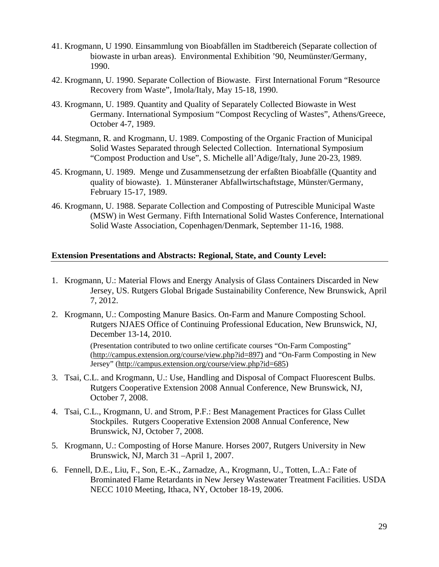- 41. Krogmann, U 1990. Einsammlung von Bioabfällen im Stadtbereich (Separate collection of biowaste in urban areas). Environmental Exhibition '90, Neumünster/Germany, 1990.
- 42. Krogmann, U. 1990. Separate Collection of Biowaste. First International Forum "Resource Recovery from Waste", Imola/Italy, May 15-18, 1990.
- 43. Krogmann, U. 1989. Quantity and Quality of Separately Collected Biowaste in West Germany. International Symposium "Compost Recycling of Wastes", Athens/Greece, October 4-7, 1989.
- 44. Stegmann, R. and Krogmann, U. 1989. Composting of the Organic Fraction of Municipal Solid Wastes Separated through Selected Collection. International Symposium "Compost Production and Use", S. Michelle all'Adige/Italy, June 20-23, 1989.
- 45. Krogmann, U. 1989. Menge und Zusammensetzung der erfaßten Bioabfälle (Quantity and quality of biowaste). 1. Münsteraner Abfallwirtschaftstage, Münster/Germany, February 15-17, 1989.
- 46. Krogmann, U. 1988. Separate Collection and Composting of Putrescible Municipal Waste (MSW) in West Germany. Fifth International Solid Wastes Conference, International Solid Waste Association, Copenhagen/Denmark, September 11-16, 1988.

## **Extension Presentations and Abstracts: Regional, State, and County Level:**

- 1. Krogmann, U.: Material Flows and Energy Analysis of Glass Containers Discarded in New Jersey, US. Rutgers Global Brigade Sustainability Conference, New Brunswick, April 7, 2012.
- 2. Krogmann, U.: Composting Manure Basics. On-Farm and Manure Composting School. Rutgers NJAES Office of Continuing Professional Education, New Brunswick, NJ, December 13-14, 2010.

(Presentation contributed to two online certificate courses "On-Farm Composting" (http://campus.extension.org/course/view.php?id=897) and "On-Farm Composting in New Jersey" (http://campus.extension.org/course/view.php?id=685)

- 3. Tsai, C.L. and Krogmann, U.: Use, Handling and Disposal of Compact Fluorescent Bulbs. Rutgers Cooperative Extension 2008 Annual Conference, New Brunswick, NJ, October 7, 2008.
- 4. Tsai, C.L., Krogmann, U. and Strom, P.F.: Best Management Practices for Glass Cullet Stockpiles. Rutgers Cooperative Extension 2008 Annual Conference, New Brunswick, NJ, October 7, 2008.
- 5. Krogmann, U.: Composting of Horse Manure. Horses 2007, Rutgers University in New Brunswick, NJ, March 31 –April 1, 2007.
- 6. Fennell, D.E., Liu, F., Son, E.-K., Zarnadze, A., Krogmann, U., Totten, L.A.: Fate of Brominated Flame Retardants in New Jersey Wastewater Treatment Facilities. USDA NECC 1010 Meeting, Ithaca, NY, October 18-19, 2006.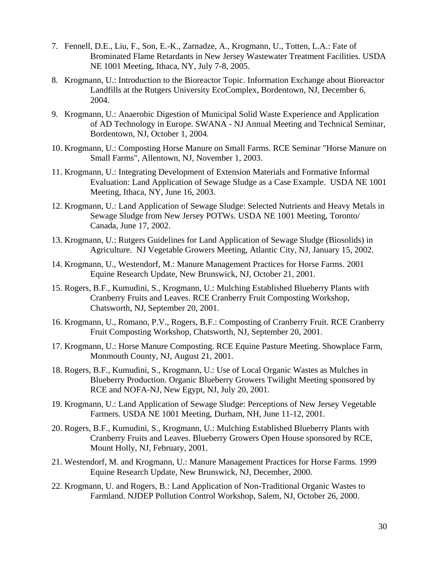- 7. Fennell, D.E., Liu, F., Son, E.-K., Zarnadze, A., Krogmann, U., Totten, L.A.: Fate of Brominated Flame Retardants in New Jersey Wastewater Treatment Facilities. USDA NE 1001 Meeting, Ithaca, NY, July 7-8, 2005.
- 8. Krogmann, U.: Introduction to the Bioreactor Topic. Information Exchange about Bioreactor Landfills at the Rutgers University EcoComplex, Bordentown, NJ, December 6, 2004.
- 9. Krogmann, U.: Anaerobic Digestion of Municipal Solid Waste Experience and Application of AD Technology in Europe. SWANA - NJ Annual Meeting and Technical Seminar, Bordentown, NJ, October 1, 2004.
- 10. Krogmann, U.: Composting Horse Manure on Small Farms. RCE Seminar "Horse Manure on Small Farms", Allentown, NJ, November 1, 2003.
- 11. Krogmann, U.: Integrating Development of Extension Materials and Formative Informal Evaluation: Land Application of Sewage Sludge as a Case Example. USDA NE 1001 Meeting, Ithaca, NY, June 16, 2003.
- 12. Krogmann, U.: Land Application of Sewage Sludge: Selected Nutrients and Heavy Metals in Sewage Sludge from New Jersey POTWs. USDA NE 1001 Meeting, Toronto/ Canada, June 17, 2002.
- 13. Krogmann, U.: Rutgers Guidelines for Land Application of Sewage Sludge (Biosolids) in Agriculture. NJ Vegetable Growers Meeting, Atlantic City, NJ, January 15, 2002.
- 14. Krogmann, U., Westendorf, M.: Manure Management Practices for Horse Farms. 2001 Equine Research Update, New Brunswick, NJ, October 21, 2001.
- 15. Rogers, B.F., Kumudini, S., Krogmann, U.: Mulching Established Blueberry Plants with Cranberry Fruits and Leaves. RCE Cranberry Fruit Composting Workshop, Chatsworth, NJ, September 20, 2001.
- 16. Krogmann, U., Romano, P.V., Rogers, B.F.: Composting of Cranberry Fruit. RCE Cranberry Fruit Composting Workshop, Chatsworth, NJ, September 20, 2001.
- 17. Krogmann, U.: Horse Manure Composting. RCE Equine Pasture Meeting. Showplace Farm, Monmouth County, NJ, August 21, 2001.
- 18. Rogers, B.F., Kumudini, S., Krogmann, U.: Use of Local Organic Wastes as Mulches in Blueberry Production. Organic Blueberry Growers Twilight Meeting sponsored by RCE and NOFA-NJ, New Egypt, NJ, July 20, 2001.
- 19. Krogmann, U.: Land Application of Sewage Sludge: Perceptions of New Jersey Vegetable Farmers. USDA NE 1001 Meeting, Durham, NH, June 11-12, 2001.
- 20. Rogers, B.F., Kumudini, S., Krogmann, U.: Mulching Established Blueberry Plants with Cranberry Fruits and Leaves. Blueberry Growers Open House sponsored by RCE, Mount Holly, NJ, February, 2001.
- 21. Westendorf, M. and Krogmann, U.: Manure Management Practices for Horse Farms. 1999 Equine Research Update, New Brunswick, NJ, December, 2000.
- 22. Krogmann, U. and Rogers, B.: Land Application of Non-Traditional Organic Wastes to Farmland. NJDEP Pollution Control Workshop, Salem, NJ, October 26, 2000.